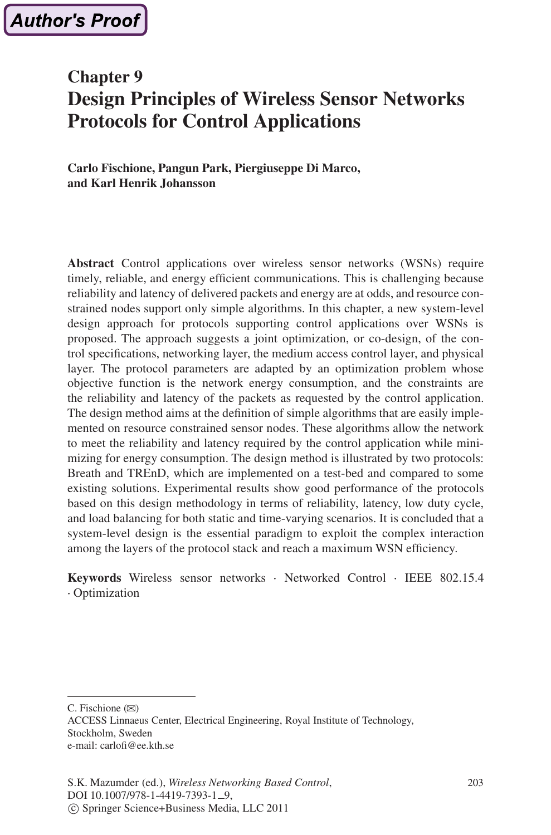# **Chapter 9 Design Principles of Wireless Sensor Networks Protocols for Control Applications**

**Carlo Fischione, Pangun Park, Piergiuseppe Di Marco, and Karl Henrik Johansson**

**Abstract** Control applications over wireless sensor networks (WSNs) require timely, reliable, and energy efficient communications. This is challenging because reliability and latency of delivered packets and energy are at odds, and resource constrained nodes support only simple algorithms. In this chapter, a new system-level design approach for protocols supporting control applications over WSNs is proposed. The approach suggests a joint optimization, or co-design, of the control specifications, networking layer, the medium access control layer, and physical layer. The protocol parameters are adapted by an optimization problem whose objective function is the network energy consumption, and the constraints are the reliability and latency of the packets as requested by the control application. The design method aims at the definition of simple algorithms that are easily implemented on resource constrained sensor nodes. These algorithms allow the network to meet the reliability and latency required by the control application while minimizing for energy consumption. The design method is illustrated by two protocols: Breath and TREnD, which are implemented on a test-bed and compared to some existing solutions. Experimental results show good performance of the protocols based on this design methodology in terms of reliability, latency, low duty cycle, and load balancing for both static and time-varying scenarios. It is concluded that a system-level design is the essential paradigm to exploit the complex interaction among the layers of the protocol stack and reach a maximum WSN efficiency.

**Keywords** Wireless sensor networks · Networked Control · IEEE 802.15.4 ( Optimization

C. Fischione  $(\boxtimes)$ 

ACCESS Linnaeus Center, Electrical Engineering, Royal Institute of Technology, Stockholm, Sweden e-mail: carlofi@ee.kth.se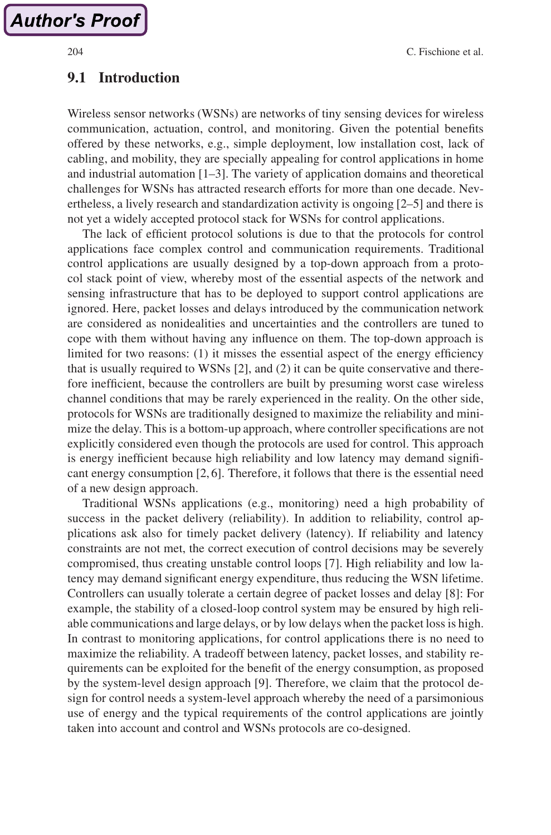**Author's Proof** 

204 C. Fischione et al.

# **9.1 Introduction**

Wireless sensor networks (WSNs) are networks of tiny sensing devices for wireless communication, actuation, control, and monitoring. Given the potential benefits offered by these networks, e.g., simple deployment, low installation cost, lack of cabling, and mobility, they are specially appealing for control applications in home and industrial automation [1–3]. The variety of application domains and theoretical challenges for WSNs has attracted research efforts for more than one decade. Nevertheless, a lively research and standardization activity is ongoing [2–5] and there is not yet a widely accepted protocol stack for WSNs for control applications.

The lack of efficient protocol solutions is due to that the protocols for control applications face complex control and communication requirements. Traditional control applications are usually designed by a top-down approach from a protocol stack point of view, whereby most of the essential aspects of the network and sensing infrastructure that has to be deployed to support control applications are ignored. Here, packet losses and delays introduced by the communication network are considered as nonidealities and uncertainties and the controllers are tuned to cope with them without having any influence on them. The top-down approach is limited for two reasons: (1) it misses the essential aspect of the energy efficiency that is usually required to WSNs [2], and (2) it can be quite conservative and therefore inefficient, because the controllers are built by presuming worst case wireless channel conditions that may be rarely experienced in the reality. On the other side, protocols for WSNs are traditionally designed to maximize the reliability and minimize the delay. This is a bottom-up approach, where controller specifications are not explicitly considered even though the protocols are used for control. This approach is energy inefficient because high reliability and low latency may demand significant energy consumption  $[2, 6]$ . Therefore, it follows that there is the essential need of a new design approach.

Traditional WSNs applications (e.g., monitoring) need a high probability of success in the packet delivery (reliability). In addition to reliability, control applications ask also for timely packet delivery (latency). If reliability and latency constraints are not met, the correct execution of control decisions may be severely compromised, thus creating unstable control loops [7]. High reliability and low latency may demand significant energy expenditure, thus reducing the WSN lifetime. Controllers can usually tolerate a certain degree of packet losses and delay [8]: For example, the stability of a closed-loop control system may be ensured by high reliable communications and large delays, or by low delays when the packet loss is high. In contrast to monitoring applications, for control applications there is no need to maximize the reliability. A tradeoff between latency, packet losses, and stability requirements can be exploited for the benefit of the energy consumption, as proposed by the system-level design approach [9]. Therefore, we claim that the protocol design for control needs a system-level approach whereby the need of a parsimonious use of energy and the typical requirements of the control applications are jointly taken into account and control and WSNs protocols are co-designed.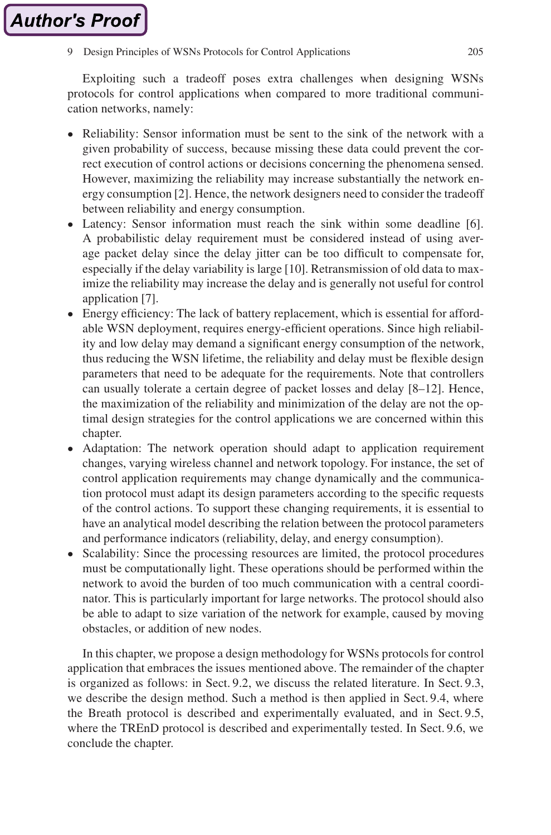

Exploiting such a tradeoff poses extra challenges when designing WSNs protocols for control applications when compared to more traditional communication networks, namely:

- Reliability: Sensor information must be sent to the sink of the network with a given probability of success, because missing these data could prevent the correct execution of control actions or decisions concerning the phenomena sensed. However, maximizing the reliability may increase substantially the network energy consumption [2]. Hence, the network designers need to consider the tradeoff between reliability and energy consumption.
- Latency: Sensor information must reach the sink within some deadline [6]. A probabilistic delay requirement must be considered instead of using average packet delay since the delay jitter can be too difficult to compensate for, especially if the delay variability is large [10]. Retransmission of old data to maximize the reliability may increase the delay and is generally not useful for control application [7].
- Energy efficiency: The lack of battery replacement, which is essential for affordable WSN deployment, requires energy-efficient operations. Since high reliability and low delay may demand a significant energy consumption of the network, thus reducing the WSN lifetime, the reliability and delay must be flexible design parameters that need to be adequate for the requirements. Note that controllers can usually tolerate a certain degree of packet losses and delay [8–12]. Hence, the maximization of the reliability and minimization of the delay are not the optimal design strategies for the control applications we are concerned within this chapter.
- Adaptation: The network operation should adapt to application requirement changes, varying wireless channel and network topology. For instance, the set of control application requirements may change dynamically and the communication protocol must adapt its design parameters according to the specific requests of the control actions. To support these changing requirements, it is essential to have an analytical model describing the relation between the protocol parameters and performance indicators (reliability, delay, and energy consumption).
- Scalability: Since the processing resources are limited, the protocol procedures must be computationally light. These operations should be performed within the network to avoid the burden of too much communication with a central coordinator. This is particularly important for large networks. The protocol should also be able to adapt to size variation of the network for example, caused by moving obstacles, or addition of new nodes.

In this chapter, we propose a design methodology for WSNs protocols for control application that embraces the issues mentioned above. The remainder of the chapter is organized as follows: in Sect. 9.2, we discuss the related literature. In Sect. 9.3, we describe the design method. Such a method is then applied in Sect. 9.4, where the Breath protocol is described and experimentally evaluated, and in Sect. 9.5, where the TREnD protocol is described and experimentally tested. In Sect. 9.6, we conclude the chapter.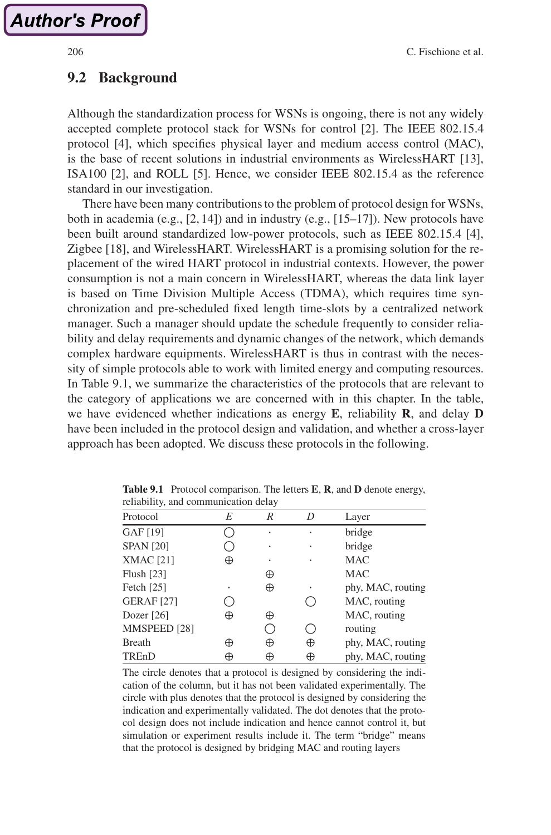**Author's Proof** 

# **9.2 Background**

Although the standardization process for WSNs is ongoing, there is not any widely accepted complete protocol stack for WSNs for control [2]. The IEEE 802.15.4 protocol [4], which specifies physical layer and medium access control (MAC), is the base of recent solutions in industrial environments as WirelessHART [13], ISA100 [2], and ROLL [5]. Hence, we consider IEEE 802.15.4 as the reference standard in our investigation.

There have been many contributions to the problem of protocol design for WSNs, both in academia (e.g., [2, 14]) and in industry (e.g., [15–17]). New protocols have been built around standardized low-power protocols, such as IEEE 802.15.4 [4], Zigbee [18], and WirelessHART. WirelessHART is a promising solution for the replacement of the wired HART protocol in industrial contexts. However, the power consumption is not a main concern in WirelessHART, whereas the data link layer is based on Time Division Multiple Access (TDMA), which requires time synchronization and pre-scheduled fixed length time-slots by a centralized network manager. Such a manager should update the schedule frequently to consider reliability and delay requirements and dynamic changes of the network, which demands complex hardware equipments. WirelessHART is thus in contrast with the necessity of simple protocols able to work with limited energy and computing resources. In Table 9.1, we summarize the characteristics of the protocols that are relevant to the category of applications we are concerned with in this chapter. In the table, we have evidenced whether indications as energy **E**, reliability **R**, and delay **D** have been included in the protocol design and validation, and whether a cross-layer approach has been adopted. We discuss these protocols in the following.

| renaomic;, and eommanication den, |   |           |           |                   |  |  |  |  |  |
|-----------------------------------|---|-----------|-----------|-------------------|--|--|--|--|--|
| Protocol                          | E | R         | D         | Layer             |  |  |  |  |  |
| GAF [19]                          |   | $\bullet$ | ٠         | bridge            |  |  |  |  |  |
| <b>SPAN [20]</b>                  |   | ٠         | ٠         | bridge            |  |  |  |  |  |
| <b>XMAC</b> [21]                  | ⊕ | ٠         |           | <b>MAC</b>        |  |  |  |  |  |
| Flush $[23]$                      |   | ⊕         |           | <b>MAC</b>        |  |  |  |  |  |
| Fetch [25]                        | ٠ | ⊕         | ٠         | phy, MAC, routing |  |  |  |  |  |
| <b>GERAF</b> [27]                 |   |           |           | MAC, routing      |  |  |  |  |  |
| Dozer $[26]$                      | ⊕ | ⊕         |           | MAC, routing      |  |  |  |  |  |
| MMSPEED [28]                      |   |           |           | routing           |  |  |  |  |  |
| <b>Breath</b>                     | ⊕ | ⊕         | $^\oplus$ | phy, MAC, routing |  |  |  |  |  |
| TREnD                             | ⊕ | ⊕         | ⊕         | phy, MAC, routing |  |  |  |  |  |

**Table 9.1** Protocol comparison. The letters **E**, **R**, and **D** denote energy, reliability, and communication delay

The circle denotes that a protocol is designed by considering the indication of the column, but it has not been validated experimentally. The circle with plus denotes that the protocol is designed by considering the indication and experimentally validated. The dot denotes that the protocol design does not include indication and hence cannot control it, but simulation or experiment results include it. The term "bridge" means that the protocol is designed by bridging MAC and routing layers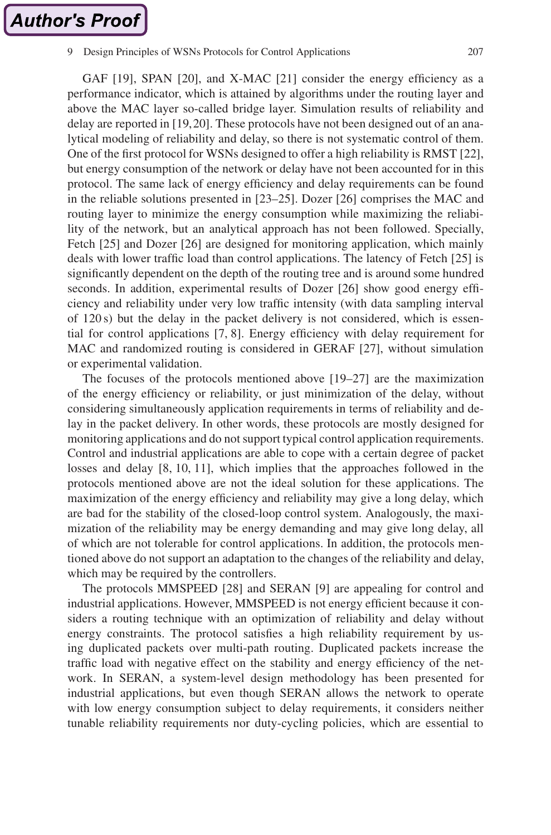GAF [19], SPAN [20], and X-MAC [21] consider the energy efficiency as a performance indicator, which is attained by algorithms under the routing layer and above the MAC layer so-called bridge layer. Simulation results of reliability and delay are reported in [19,20]. These protocols have not been designed out of an analytical modeling of reliability and delay, so there is not systematic control of them. One of the first protocol for WSNs designed to offer a high reliability is RMST [22], but energy consumption of the network or delay have not been accounted for in this protocol. The same lack of energy efficiency and delay requirements can be found in the reliable solutions presented in [23–25]. Dozer [26] comprises the MAC and routing layer to minimize the energy consumption while maximizing the reliability of the network, but an analytical approach has not been followed. Specially, Fetch [25] and Dozer [26] are designed for monitoring application, which mainly deals with lower traffic load than control applications. The latency of Fetch [25] is significantly dependent on the depth of the routing tree and is around some hundred seconds. In addition, experimental results of Dozer [26] show good energy efficiency and reliability under very low traffic intensity (with data sampling interval of 120 s) but the delay in the packet delivery is not considered, which is essential for control applications [7, 8]. Energy efficiency with delay requirement for MAC and randomized routing is considered in GERAF [27], without simulation or experimental validation.

The focuses of the protocols mentioned above [19–27] are the maximization of the energy efficiency or reliability, or just minimization of the delay, without considering simultaneously application requirements in terms of reliability and delay in the packet delivery. In other words, these protocols are mostly designed for monitoring applications and do not support typical control application requirements. Control and industrial applications are able to cope with a certain degree of packet losses and delay [8, 10, 11], which implies that the approaches followed in the protocols mentioned above are not the ideal solution for these applications. The maximization of the energy efficiency and reliability may give a long delay, which are bad for the stability of the closed-loop control system. Analogously, the maximization of the reliability may be energy demanding and may give long delay, all of which are not tolerable for control applications. In addition, the protocols mentioned above do not support an adaptation to the changes of the reliability and delay, which may be required by the controllers.

The protocols MMSPEED [28] and SERAN [9] are appealing for control and industrial applications. However, MMSPEED is not energy efficient because it considers a routing technique with an optimization of reliability and delay without energy constraints. The protocol satisfies a high reliability requirement by using duplicated packets over multi-path routing. Duplicated packets increase the traffic load with negative effect on the stability and energy efficiency of the network. In SERAN, a system-level design methodology has been presented for industrial applications, but even though SERAN allows the network to operate with low energy consumption subject to delay requirements, it considers neither tunable reliability requirements nor duty-cycling policies, which are essential to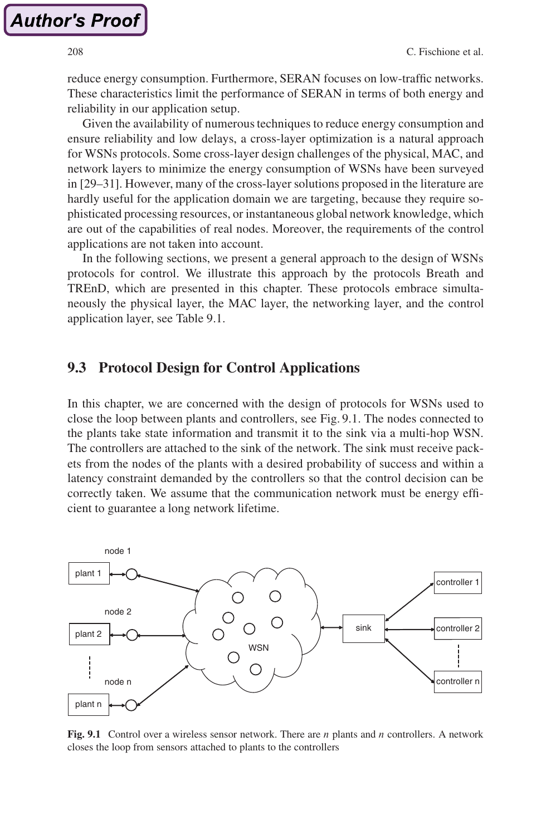reduce energy consumption. Furthermore, SERAN focuses on low-traffic networks. These characteristics limit the performance of SERAN in terms of both energy and reliability in our application setup.

Given the availability of numerous techniques to reduce energy consumption and ensure reliability and low delays, a cross-layer optimization is a natural approach for WSNs protocols. Some cross-layer design challenges of the physical, MAC, and network layers to minimize the energy consumption of WSNs have been surveyed in [29–31]. However, many of the cross-layer solutions proposed in the literature are hardly useful for the application domain we are targeting, because they require sophisticated processing resources, or instantaneous global network knowledge, which are out of the capabilities of real nodes. Moreover, the requirements of the control applications are not taken into account.

In the following sections, we present a general approach to the design of WSNs protocols for control. We illustrate this approach by the protocols Breath and TREnD, which are presented in this chapter. These protocols embrace simultaneously the physical layer, the MAC layer, the networking layer, and the control application layer, see Table 9.1.

# **9.3 Protocol Design for Control Applications**

In this chapter, we are concerned with the design of protocols for WSNs used to close the loop between plants and controllers, see Fig. 9.1. The nodes connected to the plants take state information and transmit it to the sink via a multi-hop WSN. The controllers are attached to the sink of the network. The sink must receive packets from the nodes of the plants with a desired probability of success and within a latency constraint demanded by the controllers so that the control decision can be correctly taken. We assume that the communication network must be energy efficient to guarantee a long network lifetime.



**Fig. 9.1** Control over a wireless sensor network. There are *n* plants and *n* controllers. A network closes the loop from sensors attached to plants to the controllers

**Author's Proof**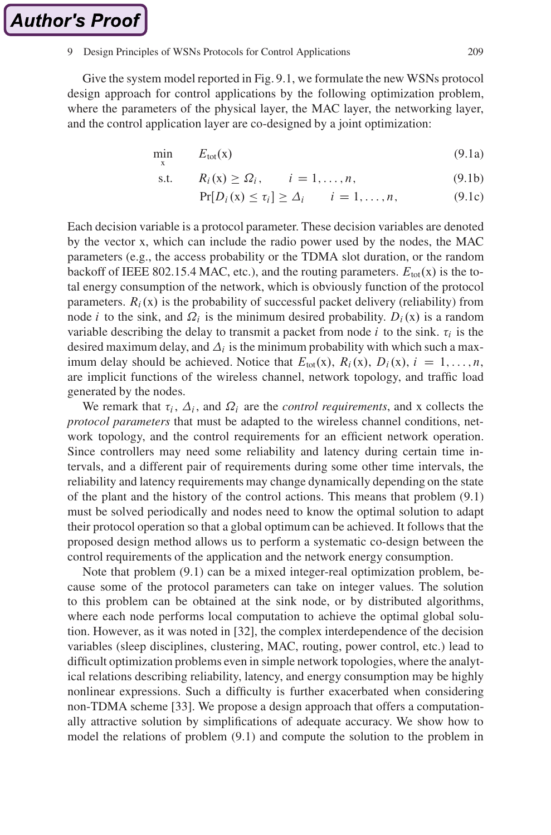

Give the system model reported in Fig. 9.1, we formulate the new WSNs protocol design approach for control applications by the following optimization problem, where the parameters of the physical layer, the MAC layer, the networking layer, and the control application layer are co-designed by a joint optimization:

$$
\min_{\mathbf{x}} \qquad E_{\text{tot}}(\mathbf{x}) \tag{9.1a}
$$

$$
\text{s.t.} \qquad R_i(\mathbf{x}) \ge \Omega_i, \qquad i = 1, \dots, n,\tag{9.1b}
$$

$$
Pr[D_i(x) \le \tau_i] \ge \Delta_i \qquad i = 1, \dots, n,
$$
\n(9.1c)

Each decision variable is a protocol parameter. These decision variables are denoted by the vector x, which can include the radio power used by the nodes, the MAC parameters (e.g., the access probability or the TDMA slot duration, or the random backoff of IEEE 802.15.4 MAC, etc.), and the routing parameters.  $E_{\text{tot}}(x)$  is the total energy consumption of the network, which is obviously function of the protocol parameters.  $R_i(x)$  is the probability of successful packet delivery (reliability) from node i to the sink, and  $\Omega_i$  is the minimum desired probability.  $D_i(x)$  is a random variable describing the delay to transmit a packet from node i to the sink.  $\tau_i$  is the desired maximum delay, and  $\Delta_i$  is the minimum probability with which such a maximum delay should be achieved. Notice that  $E_{tot}(x)$ ,  $R_i(x)$ ,  $D_i(x)$ ,  $i = 1, ..., n$ , are implicit functions of the wireless channel, network topology, and traffic load generated by the nodes.

We remark that  $\tau_i$ ,  $\Delta_i$ , and  $\Omega_i$  are the *control requirements*, and x collects the *protocol parameters* that must be adapted to the wireless channel conditions, network topology, and the control requirements for an efficient network operation. Since controllers may need some reliability and latency during certain time intervals, and a different pair of requirements during some other time intervals, the reliability and latency requirements may change dynamically depending on the state of the plant and the history of the control actions. This means that problem (9.1) must be solved periodically and nodes need to know the optimal solution to adapt their protocol operation so that a global optimum can be achieved. It follows that the proposed design method allows us to perform a systematic co-design between the control requirements of the application and the network energy consumption.

Note that problem (9.1) can be a mixed integer-real optimization problem, because some of the protocol parameters can take on integer values. The solution to this problem can be obtained at the sink node, or by distributed algorithms, where each node performs local computation to achieve the optimal global solution. However, as it was noted in [32], the complex interdependence of the decision variables (sleep disciplines, clustering, MAC, routing, power control, etc.) lead to difficult optimization problems even in simple network topologies, where the analytical relations describing reliability, latency, and energy consumption may be highly nonlinear expressions. Such a difficulty is further exacerbated when considering non-TDMA scheme [33]. We propose a design approach that offers a computationally attractive solution by simplifications of adequate accuracy. We show how to model the relations of problem (9.1) and compute the solution to the problem in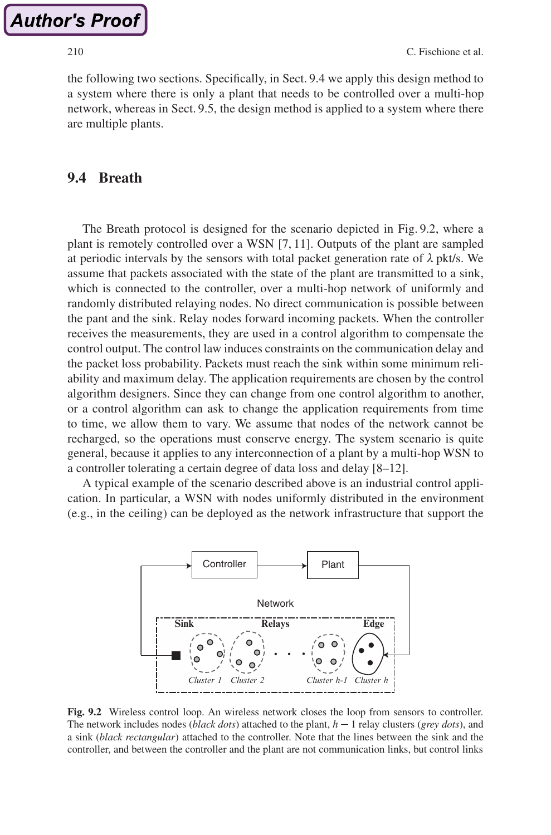

the following two sections. Specifically, in Sect. 9.4 we apply this design method to a system where there is only a plant that needs to be controlled over a multi-hop network, whereas in Sect. 9.5, the design method is applied to a system where there are multiple plants.

# **9.4 Breath**

The Breath protocol is designed for the scenario depicted in Fig. 9.2, where a plant is remotely controlled over a WSN [7, 11]. Outputs of the plant are sampled at periodic intervals by the sensors with total packet generation rate of  $\lambda$  pkt/s. We assume that packets associated with the state of the plant are transmitted to a sink, which is connected to the controller, over a multi-hop network of uniformly and randomly distributed relaying nodes. No direct communication is possible between the pant and the sink. Relay nodes forward incoming packets. When the controller receives the measurements, they are used in a control algorithm to compensate the control output. The control law induces constraints on the communication delay and the packet loss probability. Packets must reach the sink within some minimum reliability and maximum delay. The application requirements are chosen by the control algorithm designers. Since they can change from one control algorithm to another, or a control algorithm can ask to change the application requirements from time to time, we allow them to vary. We assume that nodes of the network cannot be recharged, so the operations must conserve energy. The system scenario is quite general, because it applies to any interconnection of a plant by a multi-hop WSN to a controller tolerating a certain degree of data loss and delay [8–12].

A typical example of the scenario described above is an industrial control application. In particular, a WSN with nodes uniformly distributed in the environment (e.g., in the ceiling) can be deployed as the network infrastructure that support the



**Fig. 9.2** Wireless control loop. An wireless network closes the loop from sensors to controller. The network includes nodes (*black dots*) attached to the plant,  $h - 1$  relay clusters (*grey dots*), and a sink (*black rectangular*) attached to the controller. Note that the lines between the sink and the controller, and between the controller and the plant are not communication links, but control links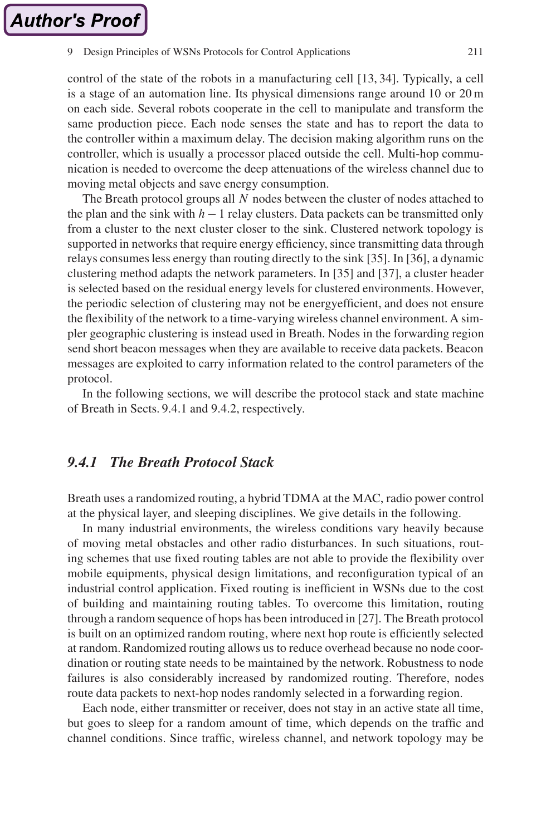

control of the state of the robots in a manufacturing cell [13, 34]. Typically, a cell is a stage of an automation line. Its physical dimensions range around 10 or 20 m on each side. Several robots cooperate in the cell to manipulate and transform the same production piece. Each node senses the state and has to report the data to the controller within a maximum delay. The decision making algorithm runs on the controller, which is usually a processor placed outside the cell. Multi-hop communication is needed to overcome the deep attenuations of the wireless channel due to moving metal objects and save energy consumption.

The Breath protocol groups all N nodes between the cluster of nodes attached to the plan and the sink with  $h - 1$  relay clusters. Data packets can be transmitted only from a cluster to the next cluster closer to the sink. Clustered network topology is supported in networks that require energy efficiency, since transmitting data through relays consumes less energy than routing directly to the sink [35]. In [36], a dynamic clustering method adapts the network parameters. In [35] and [37], a cluster header is selected based on the residual energy levels for clustered environments. However, the periodic selection of clustering may not be energyefficient, and does not ensure the flexibility of the network to a time-varying wireless channel environment. A simpler geographic clustering is instead used in Breath. Nodes in the forwarding region send short beacon messages when they are available to receive data packets. Beacon messages are exploited to carry information related to the control parameters of the protocol.

In the following sections, we will describe the protocol stack and state machine of Breath in Sects. 9.4.1 and 9.4.2, respectively.

# *9.4.1 The Breath Protocol Stack*

Breath uses a randomized routing, a hybrid TDMA at the MAC, radio power control at the physical layer, and sleeping disciplines. We give details in the following.

In many industrial environments, the wireless conditions vary heavily because of moving metal obstacles and other radio disturbances. In such situations, routing schemes that use fixed routing tables are not able to provide the flexibility over mobile equipments, physical design limitations, and reconfiguration typical of an industrial control application. Fixed routing is inefficient in WSNs due to the cost of building and maintaining routing tables. To overcome this limitation, routing through a random sequence of hops has been introduced in [27]. The Breath protocol is built on an optimized random routing, where next hop route is efficiently selected at random. Randomized routing allows us to reduce overhead because no node coordination or routing state needs to be maintained by the network. Robustness to node failures is also considerably increased by randomized routing. Therefore, nodes route data packets to next-hop nodes randomly selected in a forwarding region.

Each node, either transmitter or receiver, does not stay in an active state all time, but goes to sleep for a random amount of time, which depends on the traffic and channel conditions. Since traffic, wireless channel, and network topology may be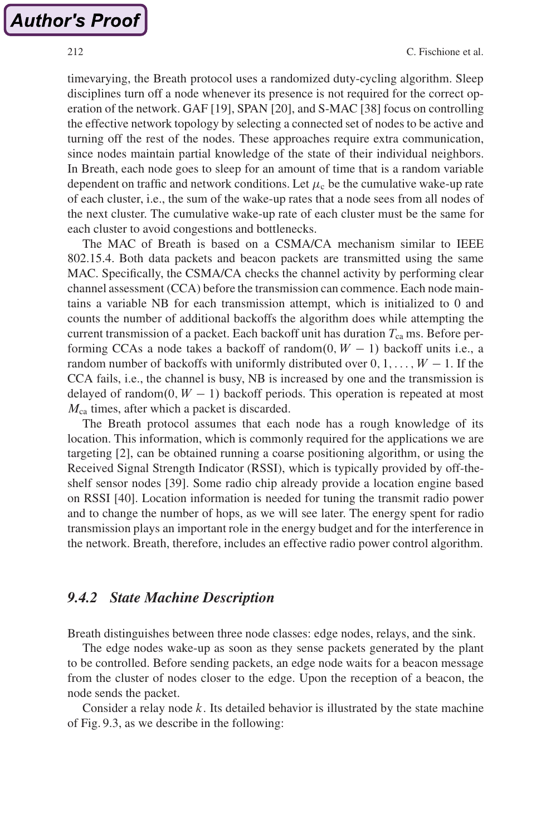timevarying, the Breath protocol uses a randomized duty-cycling algorithm. Sleep disciplines turn off a node whenever its presence is not required for the correct operation of the network. GAF [19], SPAN [20], and S-MAC [38] focus on controlling the effective network topology by selecting a connected set of nodes to be active and turning off the rest of the nodes. These approaches require extra communication, since nodes maintain partial knowledge of the state of their individual neighbors. In Breath, each node goes to sleep for an amount of time that is a random variable dependent on traffic and network conditions. Let  $\mu_c$  be the cumulative wake-up rate of each cluster, i.e., the sum of the wake-up rates that a node sees from all nodes of the next cluster. The cumulative wake-up rate of each cluster must be the same for each cluster to avoid congestions and bottlenecks.

The MAC of Breath is based on a CSMA/CA mechanism similar to IEEE 802.15.4. Both data packets and beacon packets are transmitted using the same MAC. Specifically, the CSMA/CA checks the channel activity by performing clear channel assessment (CCA) before the transmission can commence. Each node maintains a variable NB for each transmission attempt, which is initialized to 0 and counts the number of additional backoffs the algorithm does while attempting the current transmission of a packet. Each backoff unit has duration  $T_{ca}$  ms. Before performing CCAs a node takes a backoff of random $(0, W - 1)$  backoff units i.e., a random number of backoffs with uniformly distributed over  $0, 1, \ldots, W - 1$ . If the CCA fails, i.e., the channel is busy, NB is increased by one and the transmission is delayed of random $(0, W - 1)$  backoff periods. This operation is repeated at most  $M_{ca}$  times, after which a packet is discarded.

The Breath protocol assumes that each node has a rough knowledge of its location. This information, which is commonly required for the applications we are targeting [2], can be obtained running a coarse positioning algorithm, or using the Received Signal Strength Indicator (RSSI), which is typically provided by off-theshelf sensor nodes [39]. Some radio chip already provide a location engine based on RSSI [40]. Location information is needed for tuning the transmit radio power and to change the number of hops, as we will see later. The energy spent for radio transmission plays an important role in the energy budget and for the interference in the network. Breath, therefore, includes an effective radio power control algorithm.

# *9.4.2 State Machine Description*

Breath distinguishes between three node classes: edge nodes, relays, and the sink.

The edge nodes wake-up as soon as they sense packets generated by the plant to be controlled. Before sending packets, an edge node waits for a beacon message from the cluster of nodes closer to the edge. Upon the reception of a beacon, the node sends the packet.

Consider a relay node  $k$ . Its detailed behavior is illustrated by the state machine of Fig. 9.3, as we describe in the following: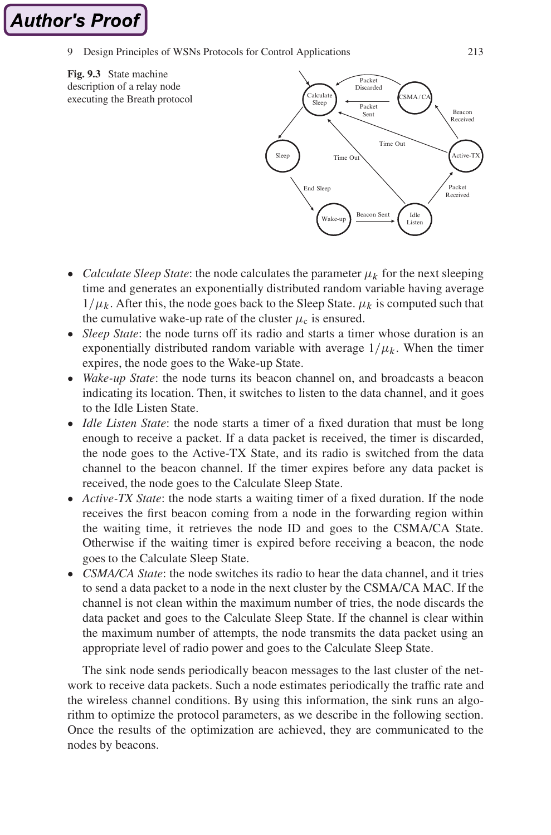





- *Calculate Sleep State*: the node calculates the parameter  $\mu_k$  for the next sleeping time and generates an exponentially distributed random variable having average  $1/\mu_k$ . After this, the node goes back to the Sleep State.  $\mu_k$  is computed such that the cumulative wake-up rate of the cluster  $\mu_c$  is ensured.
- *Sleep State*: the node turns off its radio and starts a timer whose duration is an exponentially distributed random variable with average  $1/\mu_k$ . When the timer expires, the node goes to the Wake-up State.
- *Wake-up State*: the node turns its beacon channel on, and broadcasts a beacon indicating its location. Then, it switches to listen to the data channel, and it goes to the Idle Listen State.
- *Idle Listen State*: the node starts a timer of a fixed duration that must be long enough to receive a packet. If a data packet is received, the timer is discarded, the node goes to the Active-TX State, and its radio is switched from the data channel to the beacon channel. If the timer expires before any data packet is received, the node goes to the Calculate Sleep State.
- *Active-TX State*: the node starts a waiting timer of a fixed duration. If the node receives the first beacon coming from a node in the forwarding region within the waiting time, it retrieves the node ID and goes to the CSMA/CA State. Otherwise if the waiting timer is expired before receiving a beacon, the node goes to the Calculate Sleep State.
- *CSMA/CA State*: the node switches its radio to hear the data channel, and it tries to send a data packet to a node in the next cluster by the CSMA/CA MAC. If the channel is not clean within the maximum number of tries, the node discards the data packet and goes to the Calculate Sleep State. If the channel is clear within the maximum number of attempts, the node transmits the data packet using an appropriate level of radio power and goes to the Calculate Sleep State.

The sink node sends periodically beacon messages to the last cluster of the network to receive data packets. Such a node estimates periodically the traffic rate and the wireless channel conditions. By using this information, the sink runs an algorithm to optimize the protocol parameters, as we describe in the following section. Once the results of the optimization are achieved, they are communicated to the nodes by beacons.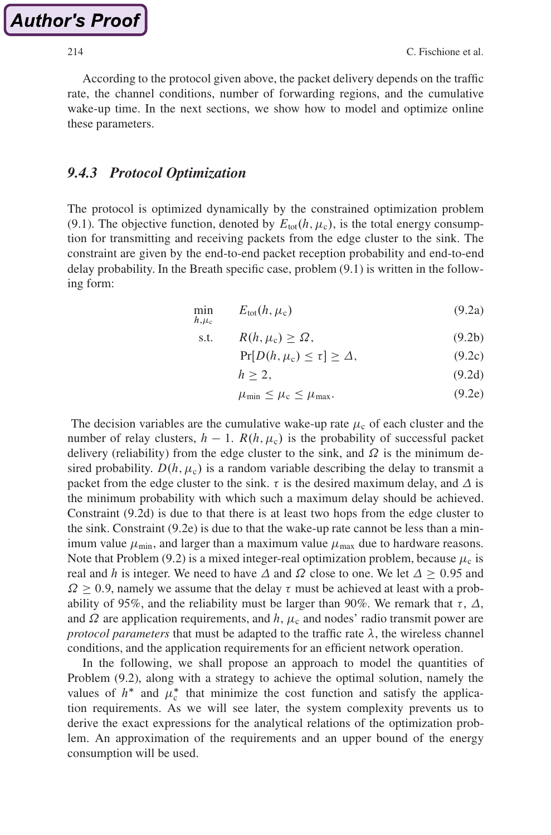According to the protocol given above, the packet delivery depends on the traffic rate, the channel conditions, number of forwarding regions, and the cumulative wake-up time. In the next sections, we show how to model and optimize online these parameters.

# *9.4.3 Protocol Optimization*

The protocol is optimized dynamically by the constrained optimization problem (9.1). The objective function, denoted by  $E_{tot}(h, \mu_c)$ , is the total energy consumption for transmitting and receiving packets from the edge cluster to the sink. The constraint are given by the end-to-end packet reception probability and end-to-end delay probability. In the Breath specific case, problem (9.1) is written in the following form:

$$
\min_{h,\mu_c} E_{\text{tot}}(h,\mu_c) \tag{9.2a}
$$

$$
s.t. \t R(h, \mu_c) \ge \Omega, \t (9.2b)
$$

$$
Pr[D(h, \mu_c) \le \tau] \ge \Delta, \tag{9.2c}
$$

 $h \ge 2,$  (9.2d)

$$
\mu_{\min} \le \mu_{\rm c} \le \mu_{\max}.\tag{9.2e}
$$

The decision variables are the cumulative wake-up rate  $\mu_c$  of each cluster and the number of relay clusters,  $h - 1$ .  $R(h, \mu_c)$  is the probability of successful packet delivery (reliability) from the edge cluster to the sink, and  $\Omega$  is the minimum desired probability.  $D(h, \mu_c)$  is a random variable describing the delay to transmit a packet from the edge cluster to the sink.  $\tau$  is the desired maximum delay, and  $\Delta$  is the minimum probability with which such a maximum delay should be achieved. Constraint (9.2d) is due to that there is at least two hops from the edge cluster to the sink. Constraint (9.2e) is due to that the wake-up rate cannot be less than a minimum value  $\mu_{\text{min}}$ , and larger than a maximum value  $\mu_{\text{max}}$  due to hardware reasons. Note that Problem (9.2) is a mixed integer-real optimization problem, because  $\mu_c$  is real and h is integer. We need to have  $\Delta$  and  $\Omega$  close to one. We let  $\Delta \geq 0.95$  and  $\Omega > 0.9$ , namely we assume that the delay  $\tau$  must be achieved at least with a probability of 95%, and the reliability must be larger than 90%. We remark that  $\tau$ ,  $\Delta$ , and  $\Omega$  are application requirements, and h,  $\mu_c$  and nodes' radio transmit power are *protocol parameters* that must be adapted to the traffic rate  $\lambda$ , the wireless channel conditions, and the application requirements for an efficient network operation.

In the following, we shall propose an approach to model the quantities of Problem (9.2), along with a strategy to achieve the optimal solution, namely the values of  $h^*$  and  $\mu_c^*$  that minimize the cost function and satisfy the application requirements. As we will see later, the system complexity prevents us to derive the exact expressions for the analytical relations of the optimization problem. An approximation of the requirements and an upper bound of the energy consumption will be used.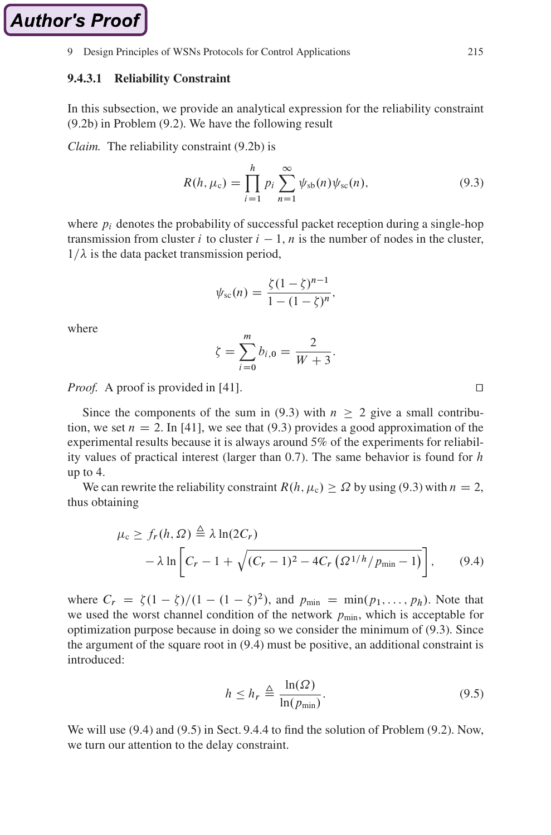### **9.4.3.1 Reliability Constraint**

In this subsection, we provide an analytical expression for the reliability constraint (9.2b) in Problem (9.2). We have the following result

*Claim.* The reliability constraint (9.2b) is

$$
R(h, \mu_{c}) = \prod_{i=1}^{h} p_{i} \sum_{n=1}^{\infty} \psi_{sb}(n) \psi_{sc}(n),
$$
 (9.3)

where  $p_i$  denotes the probability of successful packet reception during a single-hop transmission from cluster i to cluster  $i - 1$ , n is the number of nodes in the cluster,  $1/\lambda$  is the data packet transmission period,

$$
\psi_{\rm sc}(n) = \frac{\zeta(1-\zeta)^{n-1}}{1-(1-\zeta)^n},
$$

where

$$
\zeta = \sum_{i=0}^{m} b_{i,0} = \frac{2}{W+3}.
$$

*Proof.* A proof is provided in [41].  $\Box$ 

Since the components of the sum in (9.3) with  $n > 2$  give a small contribution, we set  $n = 2$ . In [41], we see that (9.3) provides a good approximation of the experimental results because it is always around 5% of the experiments for reliability values of practical interest (larger than  $0.7$ ). The same behavior is found for h up to 4.

We can rewrite the reliability constraint  $R(h, \mu_c) \geq \Omega$  by using (9.3) with  $n = 2$ , thus obtaining

$$
\mu_{\rm c} \ge f_r(h, \Omega) \stackrel{\triangle}{=} \lambda \ln(2C_r)
$$

$$
-\lambda \ln \left[ C_r - 1 + \sqrt{(C_r - 1)^2 - 4C_r \left( \Omega^{1/h} / p_{\rm min} - 1 \right)} \right], \qquad (9.4)
$$

where  $C_r = \frac{\zeta(1 - \zeta)}{(1 - (1 - \zeta)^2)}$ , and  $p_{\min} = \min(p_1, \ldots, p_h)$ . Note that we used the worst channel condition of the network  $p_{\text{min}}$ , which is acceptable for optimization purpose because in doing so we consider the minimum of (9.3). Since the argument of the square root in (9.4) must be positive, an additional constraint is introduced:

$$
h \le h_r \triangleq \frac{\ln(\Omega)}{\ln(p_{\min})}.
$$
\n(9.5)

We will use (9.4) and (9.5) in Sect. 9.4.4 to find the solution of Problem (9.2). Now, we turn our attention to the delay constraint.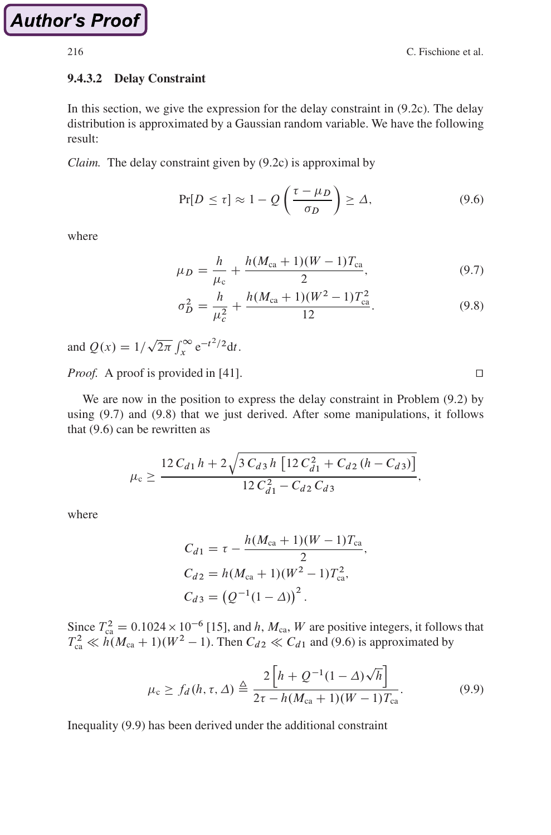

216 C. Fischione et al.

#### **9.4.3.2 Delay Constraint**

In this section, we give the expression for the delay constraint in (9.2c). The delay distribution is approximated by a Gaussian random variable. We have the following result:

*Claim.* The delay constraint given by (9.2c) is approximal by

$$
\Pr[D \le \tau] \approx 1 - Q\left(\frac{\tau - \mu_D}{\sigma_D}\right) \ge \Delta,\tag{9.6}
$$

where

$$
\mu_D = \frac{h}{\mu_c} + \frac{h(M_{ca} + 1)(W - 1)T_{ca}}{2},\tag{9.7}
$$

$$
\sigma_D^2 = \frac{h}{\mu_c^2} + \frac{h(M_{\text{ca}} + 1)(W^2 - 1)T_{\text{ca}}^2}{12}.
$$
\n(9.8)

and  $Q(x) = 1/\sqrt{2\pi} \int_{x}^{\infty} e^{-t^2/2} dt$ .

*Proof.* A proof is provided in [41].  $\Box$ 

We are now in the position to express the delay constraint in Problem (9.2) by using (9.7) and (9.8) that we just derived. After some manipulations, it follows that (9.6) can be rewritten as

$$
\mu_{\rm c} \ge \frac{12\,C_{d1}\,h + 2\sqrt{3\,C_{d3}\,h\,\left[12\,C_{d1}^2 + C_{d2}\,(h - C_{d3})\right]}}{12\,C_{d1}^2 - C_{d2}\,C_{d3}},
$$

where

$$
C_{d1} = \tau - \frac{h(M_{ca} + 1)(W - 1)T_{ca}}{2},
$$
  
\n
$$
C_{d2} = h(M_{ca} + 1)(W^{2} - 1)T_{ca}^{2},
$$
  
\n
$$
C_{d3} = (Q^{-1}(1 - \Delta))^{2}.
$$

Since  $T_{\text{ca}}^2 = 0.1024 \times 10^{-6}$  [15], and h,  $M_{\text{ca}}$ , W are positive integers, it follows that  $T_{\text{ca}}^2 \ll \tilde{h}(M_{\text{ca}} + 1)(W^2 - 1)$ . Then  $C_{d2} \ll C_{d1}$  and (9.6) is approximated by

$$
\mu_{\rm c} \ge f_d(h, \tau, \Delta) \stackrel{\Delta}{=} \frac{2\left[h + Q^{-1}(1-\Delta)\sqrt{h}\right]}{2\tau - h(M_{\rm ca} + 1)(W - 1)T_{\rm ca}}.\tag{9.9}
$$

Inequality (9.9) has been derived under the additional constraint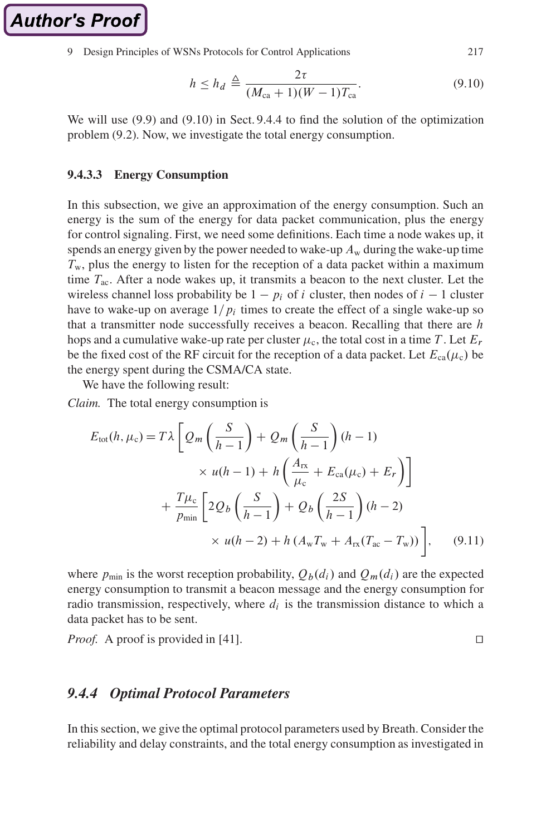

$$
h \le h_d \triangleq \frac{2\tau}{(M_{\text{ca}} + 1)(W - 1)T_{\text{ca}}}.\tag{9.10}
$$

We will use (9.9) and (9.10) in Sect. 9.4.4 to find the solution of the optimization problem (9.2). Now, we investigate the total energy consumption.

#### **9.4.3.3 Energy Consumption**

In this subsection, we give an approximation of the energy consumption. Such an energy is the sum of the energy for data packet communication, plus the energy for control signaling. First, we need some definitions. Each time a node wakes up, it spends an energy given by the power needed to wake-up  $A_w$  during the wake-up time  $T_w$ , plus the energy to listen for the reception of a data packet within a maximum time  $T_{ac}$ . After a node wakes up, it transmits a beacon to the next cluster. Let the wireless channel loss probability be  $1 - p_i$  of i cluster, then nodes of  $i - 1$  cluster have to wake-up on average  $1/p_i$  times to create the effect of a single wake-up so that a transmitter node successfully receives a beacon. Recalling that there are  $h$ hops and a cumulative wake-up rate per cluster  $\mu_c$ , the total cost in a time T. Let  $E_r$ be the fixed cost of the RF circuit for the reception of a data packet. Let  $E_{ca}(\mu_c)$  be the energy spent during the CSMA/CA state.

We have the following result:

*Claim.* The total energy consumption is

$$
E_{\text{tot}}(h, \mu_{\text{c}}) = T\lambda \left[ Q_m \left( \frac{S}{h-1} \right) + Q_m \left( \frac{S}{h-1} \right) (h-1) \times u(h-1) + h \left( \frac{A_{\text{rx}}}{\mu_{\text{c}}} + E_{\text{ca}}(\mu_{\text{c}}) + E_r \right) \right]
$$

$$
+ \frac{T\mu_{\text{c}}}{p_{\min}} \left[ 2Q_b \left( \frac{S}{h-1} \right) + Q_b \left( \frac{2S}{h-1} \right) (h-2) \times u(h-2) + h \left( A_{\text{w}} T_{\text{w}} + A_{\text{rx}} (T_{\text{ac}} - T_{\text{w}}) \right) \right], \quad (9.11)
$$

where  $p_{\text{min}}$  is the worst reception probability,  $Q_b(d_i)$  and  $Q_m(d_i)$  are the expected energy consumption to transmit a beacon message and the energy consumption for radio transmission, respectively, where  $d_i$  is the transmission distance to which a data packet has to be sent.

*Proof.* A proof is provided in [41].  $\Box$ 

# *9.4.4 Optimal Protocol Parameters*

In this section, we give the optimal protocol parameters used by Breath. Consider the reliability and delay constraints, and the total energy consumption as investigated in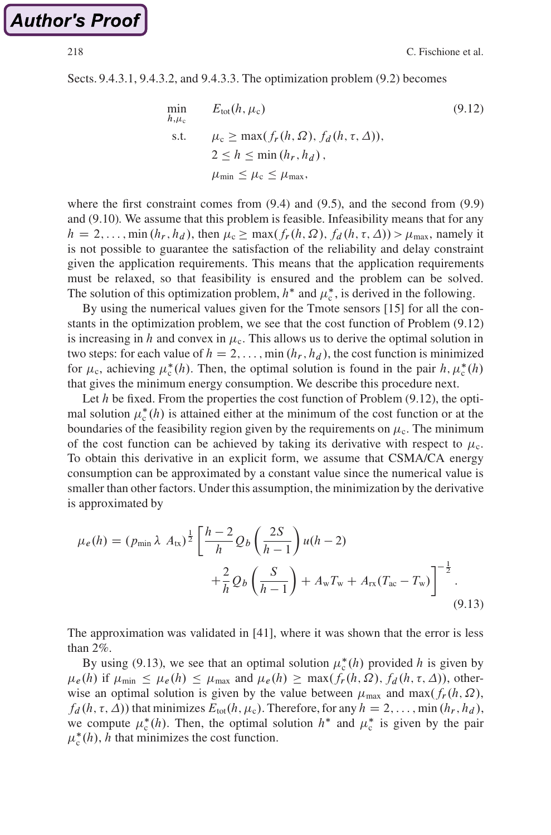Sects. 9.4.3.1, 9.4.3.2, and 9.4.3.3. The optimization problem (9.2) becomes

$$
\min_{h,\mu_c} \qquad E_{\text{tot}}(h,\mu_c) \tag{9.12}
$$
\n
$$
\text{s.t.} \qquad \mu_c \ge \max(f_r(h,\Omega), f_d(h,\tau,\Delta)),
$$
\n
$$
2 \le h \le \min(h_r, h_d),
$$
\n
$$
\mu_{\min} \le \mu_c \le \mu_{\max},
$$

where the first constraint comes from  $(9.4)$  and  $(9.5)$ , and the second from  $(9.9)$ and (9.10). We assume that this problem is feasible. Infeasibility means that for any  $h = 2,..., \min(h_r, h_d)$ , then  $\mu_c \ge \max(f_r(h, \Omega), f_d(h, \tau, \Delta)) > \mu_{\max}$ , namely it is not possible to guarantee the satisfaction of the reliability and delay constraint given the application requirements. This means that the application requirements must be relaxed, so that feasibility is ensured and the problem can be solved. The solution of this optimization problem,  $h^*$  and  $\mu_c^*$ , is derived in the following.

By using the numerical values given for the Tmote sensors [15] for all the constants in the optimization problem, we see that the cost function of Problem (9.12) is increasing in h and convex in  $\mu_c$ . This allows us to derive the optimal solution in two steps: for each value of  $h = 2, \ldots$ , min  $(h_r, h_d)$ , the cost function is minimized for  $\mu_c$ , achieving  $\mu_c^*(h)$ . Then, the optimal solution is found in the pair  $h, \mu_c^*(h)$ that gives the minimum energy consumption. We describe this procedure next.

Let  $h$  be fixed. From the properties the cost function of Problem  $(9.12)$ , the optimal solution  $\mu_c^*(h)$  is attained either at the minimum of the cost function or at the boundaries of the feasibility region given by the requirements on  $\mu_c$ . The minimum of the cost function can be achieved by taking its derivative with respect to  $\mu_c$ . To obtain this derivative in an explicit form, we assume that CSMA/CA energy consumption can be approximated by a constant value since the numerical value is smaller than other factors. Under this assumption, the minimization by the derivative is approximated by

$$
\mu_e(h) = (p_{\min} \lambda A_{tx})^{\frac{1}{2}} \left[ \frac{h-2}{h} Q_b \left( \frac{2S}{h-1} \right) u(h-2) + \frac{2}{h} Q_b \left( \frac{S}{h-1} \right) + A_w T_w + A_{rx} (T_{ac} - T_w) \right]^{-\frac{1}{2}}.
$$
\n(9.13)

The approximation was validated in [41], where it was shown that the error is less than 2%.

By using (9.13), we see that an optimal solution  $\mu_c^*(h)$  provided h is given by  $\mu_e(h)$  if  $\mu_{min} \leq \mu_e(h) \leq \mu_{max}$  and  $\mu_e(h) \geq \max(f_r(h, \Omega), f_d(h, \tau, \Delta))$ , otherwise an optimal solution is given by the value between  $\mu_{\text{max}}$  and  $\max(f_r(h, \Omega),$  $f_d(h, \tau, \Delta)$ ) that minimizes  $E_{tot}(h, \mu_c)$ . Therefore, for any  $h = 2, \ldots$ , min  $(h_r, h_d)$ , we compute  $\mu_c^*(h)$ . Then, the optimal solution  $h^*$  and  $\mu_c^*$  is given by the pair  $\mu_{\rm c}^*(h)$ , h that minimizes the cost function.

**Author's Prool**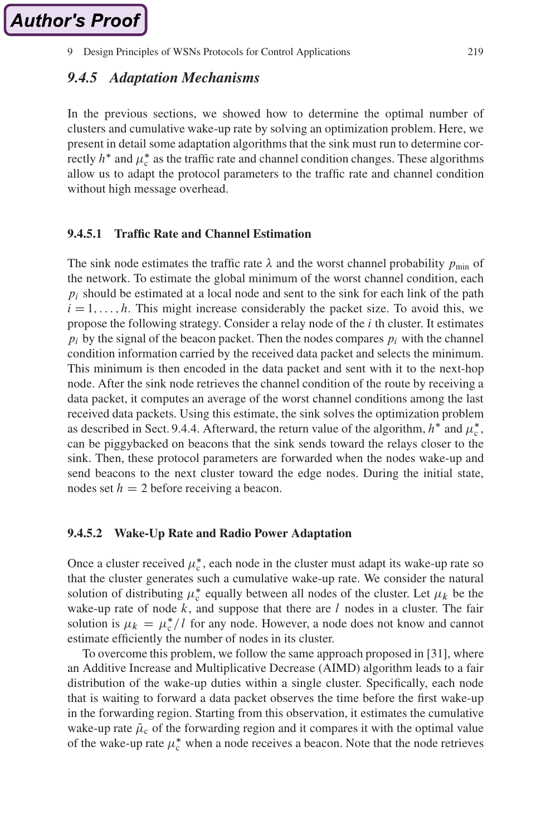# *9.4.5 Adaptation Mechanisms*

In the previous sections, we showed how to determine the optimal number of clusters and cumulative wake-up rate by solving an optimization problem. Here, we present in detail some adaptation algorithms that the sink must run to determine correctly  $h^*$  and  $\mu_c^*$  as the traffic rate and channel condition changes. These algorithms allow us to adapt the protocol parameters to the traffic rate and channel condition without high message overhead.

#### **9.4.5.1 Traffic Rate and Channel Estimation**

The sink node estimates the traffic rate  $\lambda$  and the worst channel probability  $p_{\min}$  of the network. To estimate the global minimum of the worst channel condition, each  $p_i$  should be estimated at a local node and sent to the sink for each link of the path  $i = 1, \ldots, h$ . This might increase considerably the packet size. To avoid this, we propose the following strategy. Consider a relay node of the  $i$  th cluster. It estimates  $p_i$  by the signal of the beacon packet. Then the nodes compares  $p_i$  with the channel condition information carried by the received data packet and selects the minimum. This minimum is then encoded in the data packet and sent with it to the next-hop node. After the sink node retrieves the channel condition of the route by receiving a data packet, it computes an average of the worst channel conditions among the last received data packets. Using this estimate, the sink solves the optimization problem as described in Sect. 9.4.4. Afterward, the return value of the algorithm,  $h^*$  and  $\mu_c^*$ , can be piggybacked on beacons that the sink sends toward the relays closer to the sink. Then, these protocol parameters are forwarded when the nodes wake-up and send beacons to the next cluster toward the edge nodes. During the initial state, nodes set  $h = 2$  before receiving a beacon.

#### **9.4.5.2 Wake-Up Rate and Radio Power Adaptation**

Once a cluster received  $\mu_c^*$ , each node in the cluster must adapt its wake-up rate so that the cluster generates such a cumulative wake-up rate. We consider the natural solution of distributing  $\mu_c^*$  equally between all nodes of the cluster. Let  $\mu_k$  be the wake-up rate of node  $k$ , and suppose that there are  $l$  nodes in a cluster. The fair solution is  $\mu_k = \mu_c^*/l$  for any node. However, a node does not know and cannot estimate efficiently the number of nodes in its cluster.

To overcome this problem, we follow the same approach proposed in [31], where an Additive Increase and Multiplicative Decrease (AIMD) algorithm leads to a fair distribution of the wake-up duties within a single cluster. Specifically, each node that is waiting to forward a data packet observes the time before the first wake-up in the forwarding region. Starting from this observation, it estimates the cumulative wake-up rate  $\tilde{\mu}_{c}$  of the forwarding region and it compares it with the optimal value of the wake-up rate  $\mu_c^*$  when a node receives a beacon. Note that the node retrieves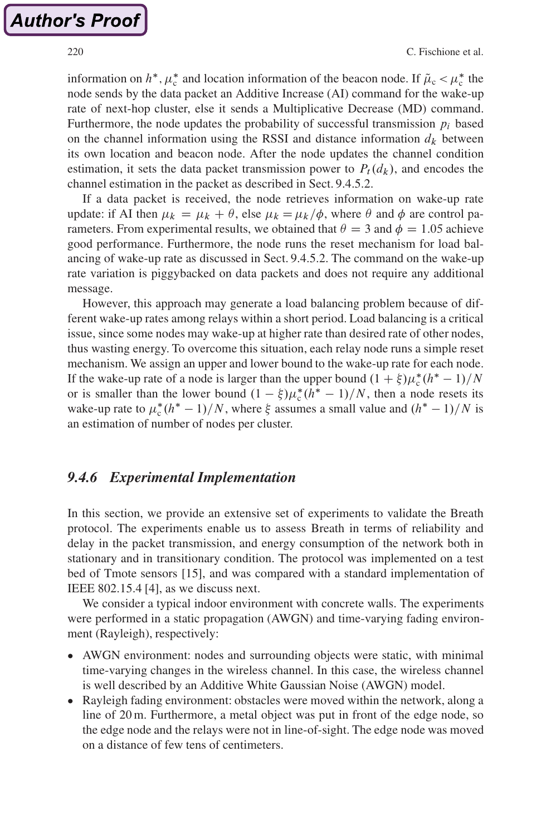

information on  $h^*$ ,  $\mu_c^*$  and location information of the beacon node. If  $\tilde{\mu}_c < \mu_c^*$  the node sends by the data packet an Additive Increase (AI) command for the wake-up rate of next-hop cluster, else it sends a Multiplicative Decrease (MD) command. Furthermore, the node updates the probability of successful transmission  $p_i$  based on the channel information using the RSSI and distance information  $d_k$  between its own location and beacon node. After the node updates the channel condition estimation, it sets the data packet transmission power to  $P_t(d_k)$ , and encodes the channel estimation in the packet as described in Sect. 9.4.5.2.

If a data packet is received, the node retrieves information on wake-up rate update: if AI then  $\mu_k = \mu_k + \theta$ , else  $\mu_k = \mu_k / \phi$ , where  $\theta$  and  $\phi$  are control parameters. From experimental results, we obtained that  $\theta = 3$  and  $\phi = 1.05$  achieve good performance. Furthermore, the node runs the reset mechanism for load balancing of wake-up rate as discussed in Sect. 9.4.5.2. The command on the wake-up rate variation is piggybacked on data packets and does not require any additional message.

However, this approach may generate a load balancing problem because of different wake-up rates among relays within a short period. Load balancing is a critical issue, since some nodes may wake-up at higher rate than desired rate of other nodes, thus wasting energy. To overcome this situation, each relay node runs a simple reset mechanism. We assign an upper and lower bound to the wake-up rate for each node. If the wake-up rate of a node is larger than the upper bound  $(1 + \xi)\mu_c^*(h^* - 1)/N$ or is smaller than the lower bound  $(1 - \xi)\mu_c^*(h^* - 1)/N$ , then a node resets its wake-up rate to  $\mu_c^*(h^* - 1)/N$ , where  $\xi$  assumes a small value and  $(h^* - 1)/N$  is an estimation of number of nodes per cluster.

# *9.4.6 Experimental Implementation*

In this section, we provide an extensive set of experiments to validate the Breath protocol. The experiments enable us to assess Breath in terms of reliability and delay in the packet transmission, and energy consumption of the network both in stationary and in transitionary condition. The protocol was implemented on a test bed of Tmote sensors [15], and was compared with a standard implementation of IEEE 802.15.4 [4], as we discuss next.

We consider a typical indoor environment with concrete walls. The experiments were performed in a static propagation (AWGN) and time-varying fading environment (Rayleigh), respectively:

- AWGN environment: nodes and surrounding objects were static, with minimal time-varying changes in the wireless channel. In this case, the wireless channel is well described by an Additive White Gaussian Noise (AWGN) model.
- Rayleigh fading environment: obstacles were moved within the network, along a line of 20m. Furthermore, a metal object was put in front of the edge node, so the edge node and the relays were not in line-of-sight. The edge node was moved on a distance of few tens of centimeters.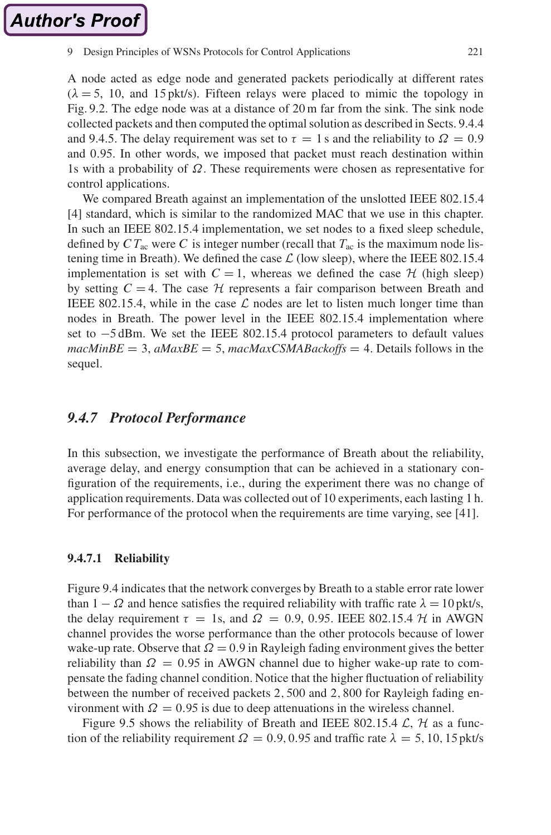

A node acted as edge node and generated packets periodically at different rates  $(\lambda = 5, 10, \text{ and } 15 \text{ pkt/s})$ . Fifteen relays were placed to mimic the topology in Fig. 9.2. The edge node was at a distance of 20 m far from the sink. The sink node collected packets and then computed the optimal solution as described in Sects. 9.4.4 and 9.4.5. The delay requirement was set to  $\tau = 1$  s and the reliability to  $\Omega = 0.9$ and 0:95. In other words, we imposed that packet must reach destination within 1s with a probability of  $\Omega$ . These requirements were chosen as representative for control applications.

We compared Breath against an implementation of the unslotted IEEE 802.15.4 [4] standard, which is similar to the randomized MAC that we use in this chapter. In such an IEEE 802.15.4 implementation, we set nodes to a fixed sleep schedule, defined by  $CT_{ac}$  were C is integer number (recall that  $T_{ac}$  is the maximum node listening time in Breath). We defined the case  $\mathcal{L}$  (low sleep), where the IEEE 802.15.4 implementation is set with  $C = 1$ , whereas we defined the case  $H$  (high sleep) by setting  $C = 4$ . The case H represents a fair comparison between Breath and IEEE 802.15.4, while in the case  $\mathcal L$  nodes are let to listen much longer time than nodes in Breath. The power level in the IEEE 802.15.4 implementation where set to  $-5$  dBm. We set the IEEE 802.15.4 protocol parameters to default values  $macMinBE = 3$ ,  $aMaxBE = 5$ ,  $macMaxCSMABackoffs = 4$ . Details follows in the sequel.

# *9.4.7 Protocol Performance*

In this subsection, we investigate the performance of Breath about the reliability, average delay, and energy consumption that can be achieved in a stationary configuration of the requirements, i.e., during the experiment there was no change of application requirements. Data was collected out of 10 experiments, each lasting 1 h. For performance of the protocol when the requirements are time varying, see [41].

#### **9.4.7.1 Reliability**

Figure 9.4 indicates that the network converges by Breath to a stable error rate lower than  $1 - \Omega$  and hence satisfies the required reliability with traffic rate  $\lambda = 10$  pkt/s, the delay requirement  $\tau = 1$ s, and  $\Omega = 0.9, 0.95$ . IEEE 802.15.4 H in AWGN channel provides the worse performance than the other protocols because of lower wake-up rate. Observe that  $\Omega = 0.9$  in Rayleigh fading environment gives the better reliability than  $\Omega = 0.95$  in AWGN channel due to higher wake-up rate to compensate the fading channel condition. Notice that the higher fluctuation of reliability between the number of received packets 2; 500 and 2; 800 for Rayleigh fading environment with  $\Omega = 0.95$  is due to deep attenuations in the wireless channel.

Figure 9.5 shows the reliability of Breath and IEEE 802.15.4  $\mathcal{L}$ ,  $\mathcal{H}$  as a function of the reliability requirement  $\Omega = 0.9, 0.95$  and traffic rate  $\lambda = 5, 10, 15$  pkt/s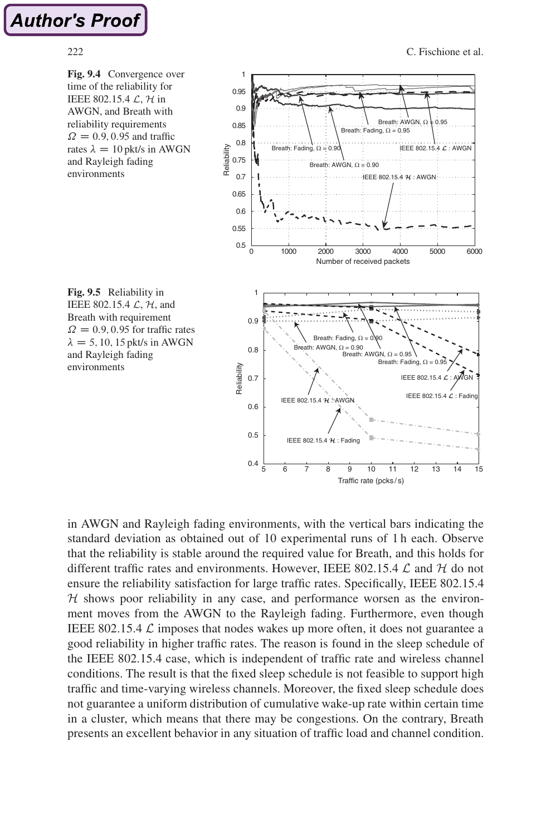

**Fig. 9.4** Convergence over time of the reliability for IEEE 802.15.4 L, H in AWGN, and Breath with reliability requirements  $\Omega = 0.9, 0.95$  and traffic rates  $\lambda = 10$  pkt/s in AWGN and Rayleigh fading environments





in AWGN and Rayleigh fading environments, with the vertical bars indicating the standard deviation as obtained out of 10 experimental runs of 1 h each. Observe that the reliability is stable around the required value for Breath, and this holds for different traffic rates and environments. However, IEEE 802.15.4  $\mathcal{L}$  and  $\mathcal{H}$  do not ensure the reliability satisfaction for large traffic rates. Specifically, IEEE 802.15.4  $H$  shows poor reliability in any case, and performance worsen as the environment moves from the AWGN to the Rayleigh fading. Furthermore, even though IEEE 802.15.4  $\mathcal L$  imposes that nodes wakes up more often, it does not guarantee a good reliability in higher traffic rates. The reason is found in the sleep schedule of the IEEE 802.15.4 case, which is independent of traffic rate and wireless channel conditions. The result is that the fixed sleep schedule is not feasible to support high traffic and time-varying wireless channels. Moreover, the fixed sleep schedule does not guarantee a uniform distribution of cumulative wake-up rate within certain time in a cluster, which means that there may be congestions. On the contrary, Breath presents an excellent behavior in any situation of traffic load and channel condition.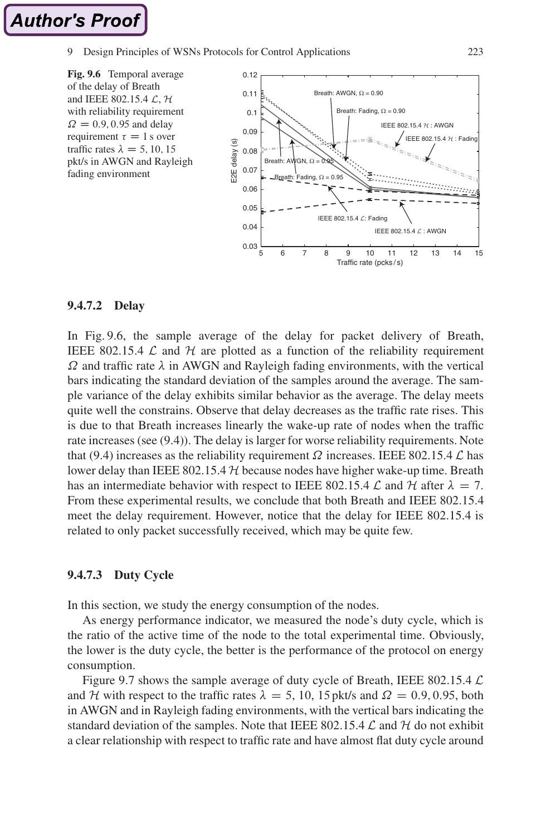



### **9.4.7.2 Delay**

In Fig. 9.6, the sample average of the delay for packet delivery of Breath, IEEE 802.15.4  $\mathcal L$  and  $\mathcal H$  are plotted as a function of the reliability requirement  $\Omega$  and traffic rate  $\lambda$  in AWGN and Rayleigh fading environments, with the vertical bars indicating the standard deviation of the samples around the average. The sample variance of the delay exhibits similar behavior as the average. The delay meets quite well the constrains. Observe that delay decreases as the traffic rate rises. This is due to that Breath increases linearly the wake-up rate of nodes when the traffic rate increases (see (9.4)). The delay is larger for worse reliability requirements. Note that (9.4) increases as the reliability requirement  $\Omega$  increases. IEEE 802.15.4  $\mathcal L$  has lower delay than IEEE 802.15.4  $H$  because nodes have higher wake-up time. Breath has an intermediate behavior with respect to IEEE 802.15.4  $\mathcal L$  and  $\mathcal H$  after  $\lambda = 7$ . From these experimental results, we conclude that both Breath and IEEE 802.15.4 meet the delay requirement. However, notice that the delay for IEEE 802.15.4 is related to only packet successfully received, which may be quite few.

#### **9.4.7.3 Duty Cycle**

In this section, we study the energy consumption of the nodes.

As energy performance indicator, we measured the node's duty cycle, which is the ratio of the active time of the node to the total experimental time. Obviously, the lower is the duty cycle, the better is the performance of the protocol on energy consumption.

Figure 9.7 shows the sample average of duty cycle of Breath, IEEE 802.15.4  $\mathcal{L}$ and H with respect to the traffic rates  $\lambda = 5$ , 10, 15 pkt/s and  $\Omega = 0.9, 0.95$ , both in AWGN and in Rayleigh fading environments, with the vertical bars indicating the standard deviation of the samples. Note that IEEE 802.15.4  $\mathcal L$  and  $\mathcal H$  do not exhibit a clear relationship with respect to traffic rate and have almost flat duty cycle around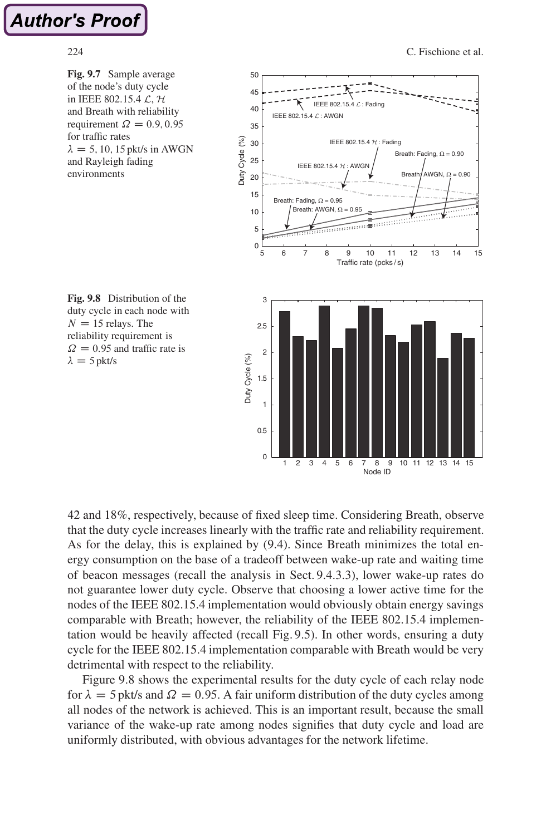

**Fig. 9.7** Sample average of the node's duty cycle in IEEE 802.15.4  $\mathcal{L}, \mathcal{H}$ and Breath with reliability requirement  $\Omega = 0.9, 0.95$ for traffic rates  $\lambda = 5, 10, 15$  pkt/s in AWGN and Rayleigh fading environments



**Fig. 9.8** Distribution of the duty cycle in each node with  $N = 15$  relays. The reliability requirement is  $\Omega = 0.95$  and traffic rate is  $\lambda = 5$  pkt/s

42 and 18%, respectively, because of fixed sleep time. Considering Breath, observe that the duty cycle increases linearly with the traffic rate and reliability requirement. As for the delay, this is explained by (9.4). Since Breath minimizes the total energy consumption on the base of a tradeoff between wake-up rate and waiting time of beacon messages (recall the analysis in Sect. 9.4.3.3), lower wake-up rates do not guarantee lower duty cycle. Observe that choosing a lower active time for the nodes of the IEEE 802.15.4 implementation would obviously obtain energy savings comparable with Breath; however, the reliability of the IEEE 802.15.4 implementation would be heavily affected (recall Fig. 9.5). In other words, ensuring a duty cycle for the IEEE 802.15.4 implementation comparable with Breath would be very detrimental with respect to the reliability.

Figure 9.8 shows the experimental results for the duty cycle of each relay node for  $\lambda = 5$  pkt/s and  $\Omega = 0.95$ . A fair uniform distribution of the duty cycles among all nodes of the network is achieved. This is an important result, because the small variance of the wake-up rate among nodes signifies that duty cycle and load are uniformly distributed, with obvious advantages for the network lifetime.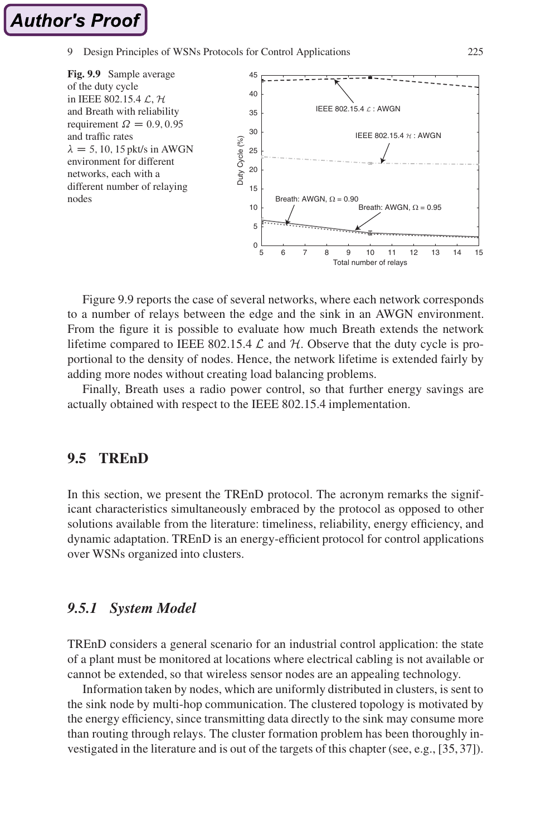



Figure 9.9 reports the case of several networks, where each network corresponds to a number of relays between the edge and the sink in an AWGN environment. From the figure it is possible to evaluate how much Breath extends the network lifetime compared to IEEE 802.15.4  $\mathcal L$  and  $\mathcal H$ . Observe that the duty cycle is proportional to the density of nodes. Hence, the network lifetime is extended fairly by adding more nodes without creating load balancing problems.

Finally, Breath uses a radio power control, so that further energy savings are actually obtained with respect to the IEEE 802.15.4 implementation.

# **9.5 TREnD**

In this section, we present the TREnD protocol. The acronym remarks the significant characteristics simultaneously embraced by the protocol as opposed to other solutions available from the literature: timeliness, reliability, energy efficiency, and dynamic adaptation. TREnD is an energy-efficient protocol for control applications over WSNs organized into clusters.

### *9.5.1 System Model*

TREnD considers a general scenario for an industrial control application: the state of a plant must be monitored at locations where electrical cabling is not available or cannot be extended, so that wireless sensor nodes are an appealing technology.

Information taken by nodes, which are uniformly distributed in clusters, is sent to the sink node by multi-hop communication. The clustered topology is motivated by the energy efficiency, since transmitting data directly to the sink may consume more than routing through relays. The cluster formation problem has been thoroughly investigated in the literature and is out of the targets of this chapter (see, e.g., [35, 37]).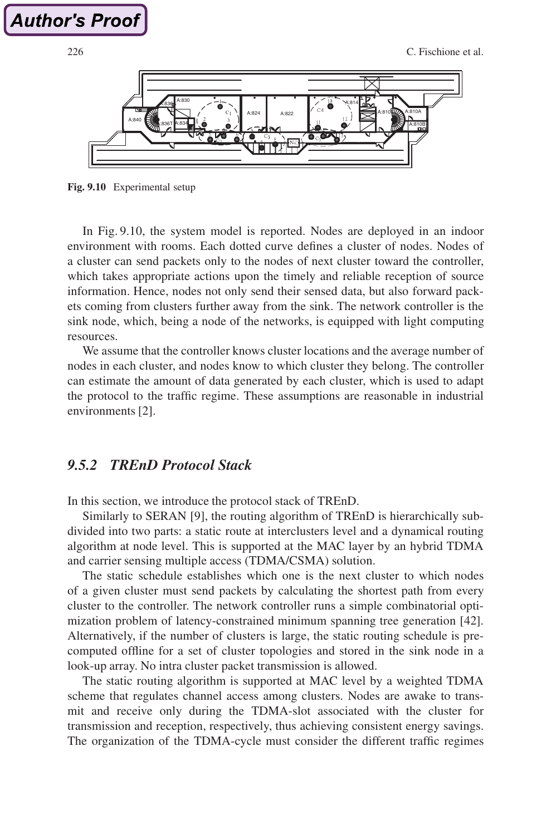

**Fig. 9.10** Experimental setup

In Fig. 9.10, the system model is reported. Nodes are deployed in an indoor environment with rooms. Each dotted curve defines a cluster of nodes. Nodes of a cluster can send packets only to the nodes of next cluster toward the controller, which takes appropriate actions upon the timely and reliable reception of source information. Hence, nodes not only send their sensed data, but also forward packets coming from clusters further away from the sink. The network controller is the sink node, which, being a node of the networks, is equipped with light computing resources.

We assume that the controller knows cluster locations and the average number of nodes in each cluster, and nodes know to which cluster they belong. The controller can estimate the amount of data generated by each cluster, which is used to adapt the protocol to the traffic regime. These assumptions are reasonable in industrial environments [2].

# *9.5.2 TREnD Protocol Stack*

In this section, we introduce the protocol stack of TREnD.

Similarly to SERAN [9], the routing algorithm of TREnD is hierarchically subdivided into two parts: a static route at interclusters level and a dynamical routing algorithm at node level. This is supported at the MAC layer by an hybrid TDMA and carrier sensing multiple access (TDMA/CSMA) solution.

The static schedule establishes which one is the next cluster to which nodes of a given cluster must send packets by calculating the shortest path from every cluster to the controller. The network controller runs a simple combinatorial optimization problem of latency-constrained minimum spanning tree generation [42]. Alternatively, if the number of clusters is large, the static routing schedule is precomputed offline for a set of cluster topologies and stored in the sink node in a look-up array. No intra cluster packet transmission is allowed.

The static routing algorithm is supported at MAC level by a weighted TDMA scheme that regulates channel access among clusters. Nodes are awake to transmit and receive only during the TDMA-slot associated with the cluster for transmission and reception, respectively, thus achieving consistent energy savings. The organization of the TDMA-cycle must consider the different traffic regimes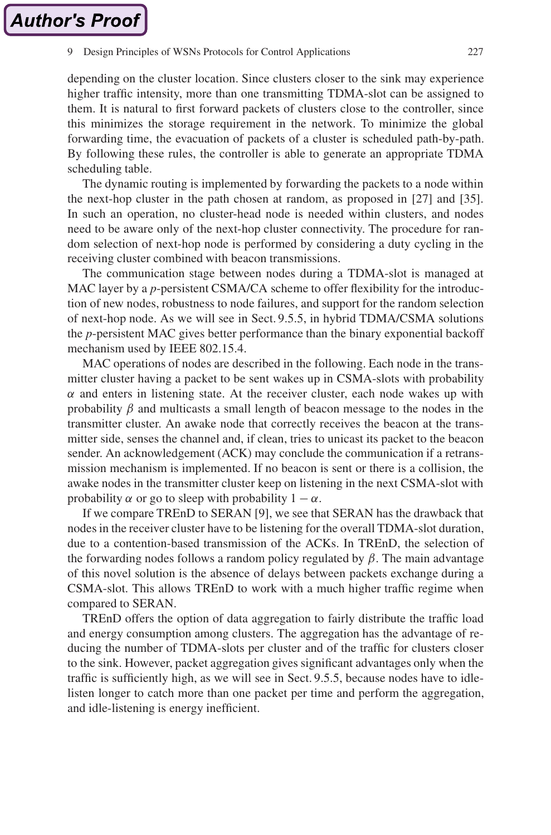

depending on the cluster location. Since clusters closer to the sink may experience higher traffic intensity, more than one transmitting TDMA-slot can be assigned to them. It is natural to first forward packets of clusters close to the controller, since this minimizes the storage requirement in the network. To minimize the global forwarding time, the evacuation of packets of a cluster is scheduled path-by-path. By following these rules, the controller is able to generate an appropriate TDMA scheduling table.

The dynamic routing is implemented by forwarding the packets to a node within the next-hop cluster in the path chosen at random, as proposed in [27] and [35]. In such an operation, no cluster-head node is needed within clusters, and nodes need to be aware only of the next-hop cluster connectivity. The procedure for random selection of next-hop node is performed by considering a duty cycling in the receiving cluster combined with beacon transmissions.

The communication stage between nodes during a TDMA-slot is managed at MAC layer by a *p*-persistent CSMA/CA scheme to offer flexibility for the introduction of new nodes, robustness to node failures, and support for the random selection of next-hop node. As we will see in Sect. 9.5.5, in hybrid TDMA/CSMA solutions the *p*-persistent MAC gives better performance than the binary exponential backoff mechanism used by IEEE 802.15.4.

MAC operations of nodes are described in the following. Each node in the transmitter cluster having a packet to be sent wakes up in CSMA-slots with probability  $\alpha$  and enters in listening state. At the receiver cluster, each node wakes up with probability  $\beta$  and multicasts a small length of beacon message to the nodes in the transmitter cluster. An awake node that correctly receives the beacon at the transmitter side, senses the channel and, if clean, tries to unicast its packet to the beacon sender. An acknowledgement (ACK) may conclude the communication if a retransmission mechanism is implemented. If no beacon is sent or there is a collision, the awake nodes in the transmitter cluster keep on listening in the next CSMA-slot with probability  $\alpha$  or go to sleep with probability  $1 - \alpha$ .

If we compare TREnD to SERAN [9], we see that SERAN has the drawback that nodes in the receiver cluster have to be listening for the overall TDMA-slot duration, due to a contention-based transmission of the ACKs. In TREnD, the selection of the forwarding nodes follows a random policy regulated by  $\beta$ . The main advantage of this novel solution is the absence of delays between packets exchange during a CSMA-slot. This allows TREnD to work with a much higher traffic regime when compared to SERAN.

TREnD offers the option of data aggregation to fairly distribute the traffic load and energy consumption among clusters. The aggregation has the advantage of reducing the number of TDMA-slots per cluster and of the traffic for clusters closer to the sink. However, packet aggregation gives significant advantages only when the traffic is sufficiently high, as we will see in Sect. 9.5.5, because nodes have to idlelisten longer to catch more than one packet per time and perform the aggregation, and idle-listening is energy inefficient.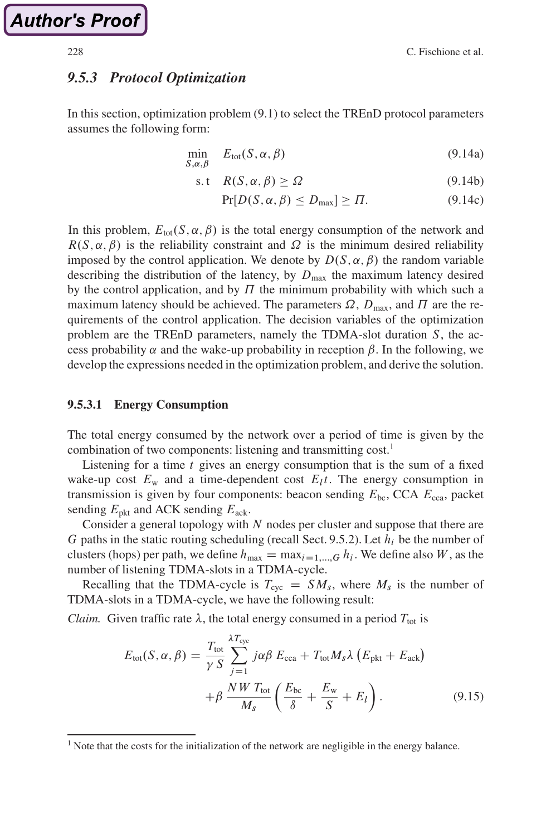

228 C. Fischione et al.

# *9.5.3 Protocol Optimization*

In this section, optimization problem (9.1) to select the TREnD protocol parameters assumes the following form:

$$
\min_{S,\alpha,\beta} E_{\text{tot}}(S,\alpha,\beta) \tag{9.14a}
$$

$$
s.t \quad R(S, \alpha, \beta) \ge \Omega \tag{9.14b}
$$

$$
Pr[D(S, \alpha, \beta) \le D_{\text{max}}] \ge \Pi. \tag{9.14c}
$$

In this problem,  $E_{\text{tot}}(S, \alpha, \beta)$  is the total energy consumption of the network and  $R(S, \alpha, \beta)$  is the reliability constraint and  $\Omega$  is the minimum desired reliability imposed by the control application. We denote by  $D(S, \alpha, \beta)$  the random variable describing the distribution of the latency, by  $D_{\text{max}}$  the maximum latency desired by the control application, and by  $\Pi$  the minimum probability with which such a maximum latency should be achieved. The parameters  $\Omega$ ,  $D_{\text{max}}$ , and  $\Pi$  are the requirements of the control application. The decision variables of the optimization problem are the TREnD parameters, namely the TDMA-slot duration S, the access probability  $\alpha$  and the wake-up probability in reception  $\beta$ . In the following, we develop the expressions needed in the optimization problem, and derive the solution.

#### **9.5.3.1 Energy Consumption**

The total energy consumed by the network over a period of time is given by the combination of two components: listening and transmitting cost.<sup>1</sup>

Listening for a time  $t$  gives an energy consumption that is the sum of a fixed wake-up cost  $E_w$  and a time-dependent cost  $E_l t$ . The energy consumption in transmission is given by four components: beacon sending  $E_{bc}$ , CCA  $E_{ca}$ , packet sending  $E_{\text{pkt}}$  and ACK sending  $E_{\text{ack}}$ .

Consider a general topology with  $N$  nodes per cluster and suppose that there are G paths in the static routing scheduling (recall Sect. 9.5.2). Let  $h_i$  be the number of clusters (hops) per path, we define  $h_{\text{max}} = \max_{i=1,\dots,G} h_i$ . We define also W, as the number of listening TDMA-slots in a TDMA-cycle.

Recalling that the TDMA-cycle is  $T_{\text{cyc}} = SM_s$ , where  $M_s$  is the number of TDMA-slots in a TDMA-cycle, we have the following result:

*Claim.* Given traffic rate  $\lambda$ , the total energy consumed in a period  $T_{\text{tot}}$  is

$$
E_{\text{tot}}(S, \alpha, \beta) = \frac{T_{\text{tot}}}{\gamma S} \sum_{j=1}^{\lambda T_{\text{cyc}}} j\alpha\beta E_{\text{cca}} + T_{\text{tot}} M_s \lambda (E_{\text{pkt}} + E_{\text{ack}}) + \beta \frac{N W T_{\text{tot}}}{M_s} \left(\frac{E_{\text{bc}}}{\delta} + \frac{E_{\text{w}}}{S} + E_l\right).
$$
 (9.15)

 $<sup>1</sup>$  Note that the costs for the initialization of the network are negligible in the energy balance.</sup>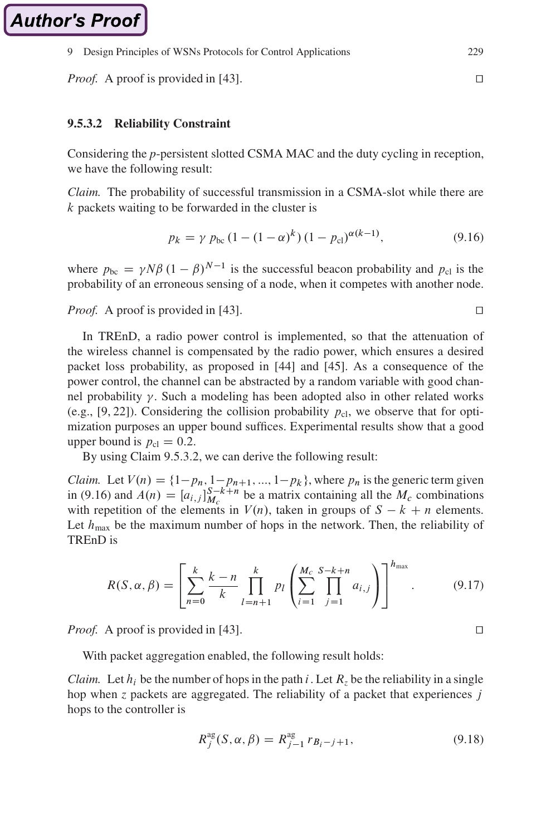*Proof.* A proof is provided in [43].  $\Box$ 

#### **9.5.3.2 Reliability Constraint**

Considering the *p*-persistent slotted CSMA MAC and the duty cycling in reception, we have the following result:

*Claim.* The probability of successful transmission in a CSMA-slot while there are k packets waiting to be forwarded in the cluster is

$$
p_k = \gamma \ p_{bc} \left( 1 - (1 - \alpha)^k \right) \left( 1 - p_{cl} \right)^{\alpha(k-1)},\tag{9.16}
$$

where  $p_{bc} = \gamma N \beta (1 - \beta)^{N-1}$  is the successful beacon probability and  $p_{c1}$  is the probability of an erroneous sensing of a node, when it competes with another node.

*Proof.* A proof is provided in [43].  $\Box$ 

In TREnD, a radio power control is implemented, so that the attenuation of the wireless channel is compensated by the radio power, which ensures a desired packet loss probability, as proposed in [44] and [45]. As a consequence of the power control, the channel can be abstracted by a random variable with good channel probability  $\gamma$ . Such a modeling has been adopted also in other related works (e.g., [9, 22]). Considering the collision probability  $p_{\text{cl}}$ , we observe that for optimization purposes an upper bound suffices. Experimental results show that a good upper bound is  $p_{\text{cl}} = 0.2$ .

By using Claim 9.5.3.2, we can derive the following result:

*Claim.* Let  $V(n) = \{1-p_n, 1-p_{n+1}, ..., 1-p_k\}$ , where  $p_n$  is the generic term given in (9.16) and  $A(n) = [a_{i,j}]_{M_c}^{S-k+n}$  be a matrix containing all the  $M_c$  combinations with repetition of the elements in  $V(n)$ , taken in groups of  $S - k + n$  elements. Let  $h_{\text{max}}$  be the maximum number of hops in the network. Then, the reliability of TREnD is

$$
R(S, \alpha, \beta) = \left[ \sum_{n=0}^{k} \frac{k-n}{k} \prod_{l=n+1}^{k} p_l \left( \sum_{i=1}^{M_c} \prod_{j=1}^{S-k+n} a_{i,j} \right) \right]^{h_{\text{max}}}.
$$
 (9.17)

*Proof.* A proof is provided in [43].  $\Box$ 

With packet aggregation enabled, the following result holds:

*Claim.* Let  $h_i$  be the number of hops in the path i. Let  $R_z$  be the reliability in a single hop when *z* packets are aggregated. The reliability of a packet that experiences j hops to the controller is

$$
R_j^{\text{ag}}(S, \alpha, \beta) = R_{j-1}^{\text{ag}} r_{B_i - j + 1}, \qquad (9.18)
$$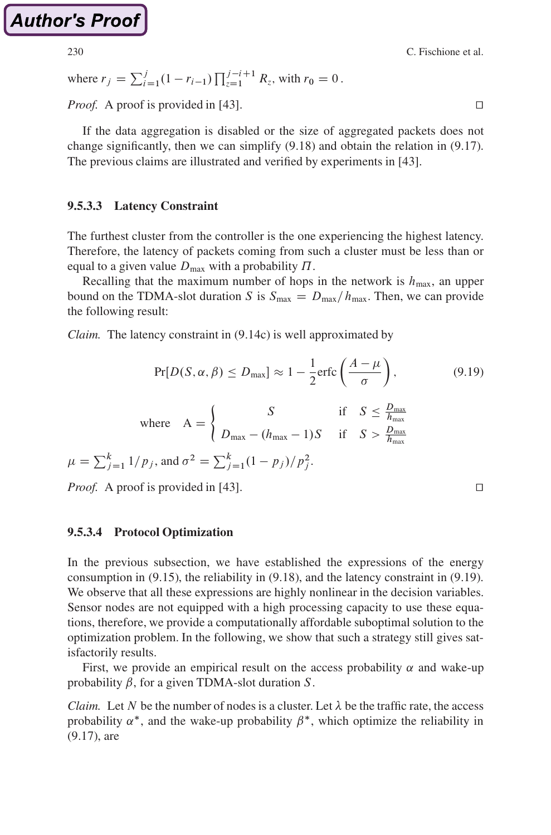

230 C. Fischione et al.

where 
$$
r_j = \sum_{i=1}^j (1 - r_{i-1}) \prod_{z=1}^{j-i+1} R_z
$$
, with  $r_0 = 0$ .

*Proof.* A proof is provided in [43].

If the data aggregation is disabled or the size of aggregated packets does not change significantly, then we can simplify (9.18) and obtain the relation in (9.17). The previous claims are illustrated and verified by experiments in [43].

#### **9.5.3.3 Latency Constraint**

The furthest cluster from the controller is the one experiencing the highest latency. Therefore, the latency of packets coming from such a cluster must be less than or equal to a given value  $D_{\text{max}}$  with a probability  $\Pi$ .

Recalling that the maximum number of hops in the network is  $h_{\text{max}}$ , an upper bound on the TDMA-slot duration S is  $S_{\text{max}} = D_{\text{max}}/h_{\text{max}}$ . Then, we can provide the following result:

*Claim.* The latency constraint in (9.14c) is well approximated by

$$
Pr[D(S, \alpha, \beta) \le D_{\text{max}}] \approx 1 - \frac{1}{2} \text{erfc}\left(\frac{A - \mu}{\sigma}\right),\tag{9.19}
$$

where 
$$
A = \begin{cases} S & \text{if } S \le \frac{D_{\text{max}}}{h_{\text{max}}} \\ D_{\text{max}} - (h_{\text{max}} - 1)S & \text{if } S > \frac{D_{\text{max}}}{h_{\text{max}}} \end{cases}
$$
  

$$
\mu = \sum_{j=1}^{k} 1/p_j, \text{ and } \sigma^2 = \sum_{j=1}^{k} (1 - p_j) / p_j^2.
$$

*Proof.* A proof is provided in [43].  $\Box$ 

### **9.5.3.4 Protocol Optimization**

In the previous subsection, we have established the expressions of the energy consumption in (9.15), the reliability in (9.18), and the latency constraint in (9.19). We observe that all these expressions are highly nonlinear in the decision variables. Sensor nodes are not equipped with a high processing capacity to use these equations, therefore, we provide a computationally affordable suboptimal solution to the optimization problem. In the following, we show that such a strategy still gives satisfactorily results.

First, we provide an empirical result on the access probability  $\alpha$  and wake-up probability  $\beta$ , for a given TDMA-slot duration S.

*Claim.* Let N be the number of nodes is a cluster. Let  $\lambda$  be the traffic rate, the access probability  $\alpha^*$ , and the wake-up probability  $\beta^*$ , which optimize the reliability in (9.17), are

$$
\Box
$$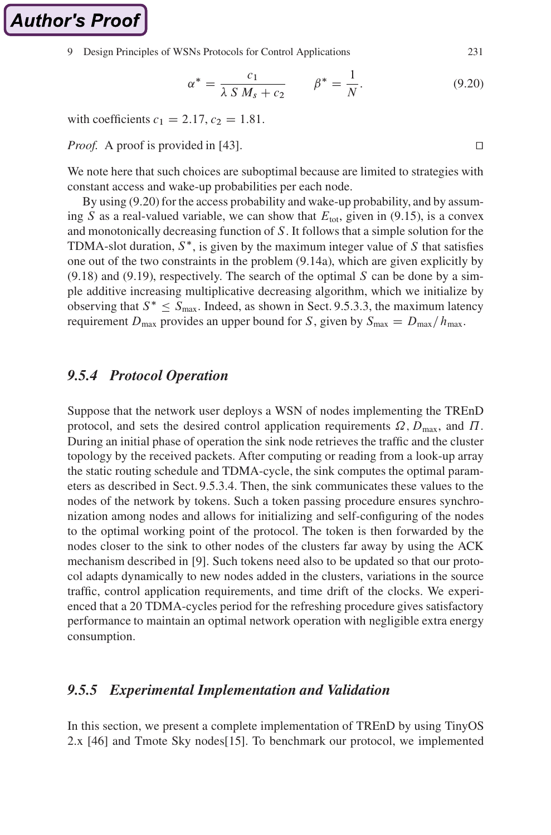

$$
\alpha^* = \frac{c_1}{\lambda \, S \, M_s + c_2} \qquad \beta^* = \frac{1}{N}.\tag{9.20}
$$

with coefficients  $c_1 = 2.17, c_2 = 1.81$ .

*Proof.* A proof is provided in [43].  $\Box$ 

We note here that such choices are suboptimal because are limited to strategies with constant access and wake-up probabilities per each node.

By using (9.20) for the access probability and wake-up probability, and by assuming S as a real-valued variable, we can show that  $E_{\text{tot}}$ , given in (9.15), is a convex and monotonically decreasing function of S. It follows that a simple solution for the TDMA-slot duration,  $S^*$ , is given by the maximum integer value of S that satisfies one out of the two constraints in the problem (9.14a), which are given explicitly by  $(9.18)$  and  $(9.19)$ , respectively. The search of the optimal S can be done by a simple additive increasing multiplicative decreasing algorithm, which we initialize by observing that  $S^* \leq S_{\text{max}}$ . Indeed, as shown in Sect. 9.5.3.3, the maximum latency requirement  $D_{\text{max}}$  provides an upper bound for S, given by  $S_{\text{max}} = D_{\text{max}}/h_{\text{max}}$ .

# *9.5.4 Protocol Operation*

Suppose that the network user deploys a WSN of nodes implementing the TREnD protocol, and sets the desired control application requirements  $\Omega$ ,  $D_{\text{max}}$ , and  $\Pi$ . During an initial phase of operation the sink node retrieves the traffic and the cluster topology by the received packets. After computing or reading from a look-up array the static routing schedule and TDMA-cycle, the sink computes the optimal parameters as described in Sect. 9.5.3.4. Then, the sink communicates these values to the nodes of the network by tokens. Such a token passing procedure ensures synchronization among nodes and allows for initializing and self-configuring of the nodes to the optimal working point of the protocol. The token is then forwarded by the nodes closer to the sink to other nodes of the clusters far away by using the ACK mechanism described in [9]. Such tokens need also to be updated so that our protocol adapts dynamically to new nodes added in the clusters, variations in the source traffic, control application requirements, and time drift of the clocks. We experienced that a 20 TDMA-cycles period for the refreshing procedure gives satisfactory performance to maintain an optimal network operation with negligible extra energy consumption.

# *9.5.5 Experimental Implementation and Validation*

In this section, we present a complete implementation of TREnD by using TinyOS 2.x [46] and Tmote Sky nodes[15]. To benchmark our protocol, we implemented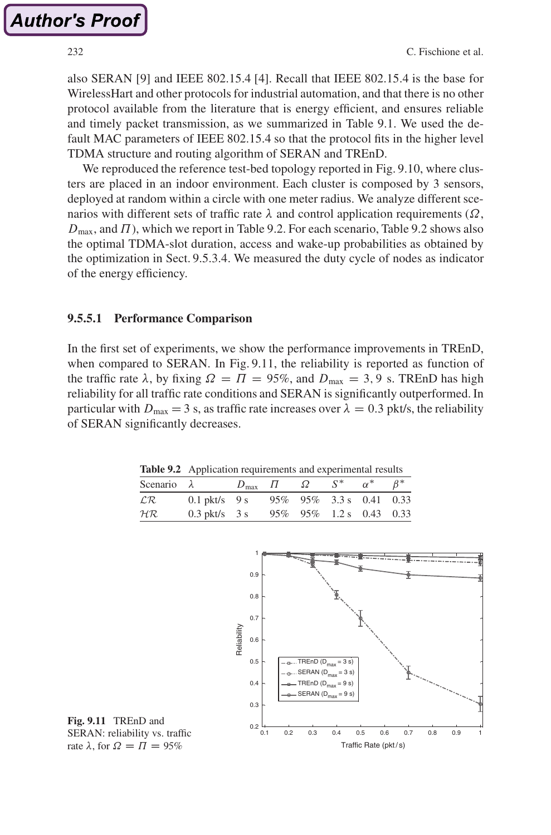also SERAN [9] and IEEE 802.15.4 [4]. Recall that IEEE 802.15.4 is the base for WirelessHart and other protocols for industrial automation, and that there is no other protocol available from the literature that is energy efficient, and ensures reliable and timely packet transmission, as we summarized in Table 9.1. We used the default MAC parameters of IEEE 802.15.4 so that the protocol fits in the higher level TDMA structure and routing algorithm of SERAN and TREnD.

We reproduced the reference test-bed topology reported in Fig. 9.10, where clusters are placed in an indoor environment. Each cluster is composed by 3 sensors, deployed at random within a circle with one meter radius. We analyze different scenarios with different sets of traffic rate  $\lambda$  and control application requirements ( $\Omega$ ,  $D_{\text{max}}$ , and  $\Pi$ ), which we report in Table 9.2. For each scenario, Table 9.2 shows also the optimal TDMA-slot duration, access and wake-up probabilities as obtained by the optimization in Sect. 9.5.3.4. We measured the duty cycle of nodes as indicator of the energy efficiency.

### **9.5.5.1 Performance Comparison**

In the first set of experiments, we show the performance improvements in TREnD, when compared to SERAN. In Fig. 9.11, the reliability is reported as function of the traffic rate  $\lambda$ , by fixing  $\Omega = \Pi = 95\%$ , and  $D_{\text{max}} = 3, 9$  s. TREnD has high reliability for all traffic rate conditions and SERAN is significantly outperformed. In particular with  $D_{\text{max}} = 3$  s, as traffic rate increases over  $\lambda = 0.3$  pkt/s, the reliability of SERAN significantly decreases.

**Table 9.2** Application requirements and experimental results

| Scenario $\lambda$ |                           |                        |      |                           |            |           |
|--------------------|---------------------------|------------------------|------|---------------------------|------------|-----------|
|                    |                           | $D_{\text{max}}$ $\Pi$ | - S2 | $S^*$                     | $\alpha^*$ | $\beta^*$ |
| $\mathcal{LR}$     | $0.1$ pkt/s $9 \text{ s}$ |                        |      | 95\% 95\% 3.3 \ 0.41 0.33 |            |           |
| HR                 | $0.3$ pkt/s $3$ s         |                        |      | 95\% 95\% 1.2 s 0.43 0.33 |            |           |



**Fig. 9.11** TREnD and SERAN: reliability vs. traffic rate  $\lambda$ , for  $\Omega = \Pi = 95\%$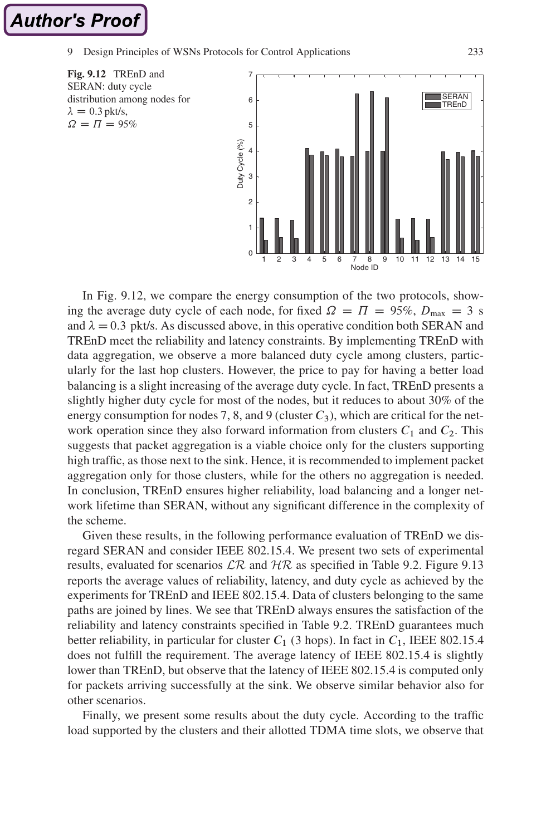



In Fig. 9.12, we compare the energy consumption of the two protocols, showing the average duty cycle of each node, for fixed  $\Omega = \Pi = 95\%$ ,  $D_{\text{max}} = 3$  s and  $\lambda = 0.3$  pkt/s. As discussed above, in this operative condition both SERAN and TREnD meet the reliability and latency constraints. By implementing TREnD with data aggregation, we observe a more balanced duty cycle among clusters, particularly for the last hop clusters. However, the price to pay for having a better load balancing is a slight increasing of the average duty cycle. In fact, TREnD presents a slightly higher duty cycle for most of the nodes, but it reduces to about 30% of the energy consumption for nodes 7, 8, and 9 (cluster  $C_3$ ), which are critical for the network operation since they also forward information from clusters  $C_1$  and  $C_2$ . This suggests that packet aggregation is a viable choice only for the clusters supporting high traffic, as those next to the sink. Hence, it is recommended to implement packet aggregation only for those clusters, while for the others no aggregation is needed. In conclusion, TREnD ensures higher reliability, load balancing and a longer network lifetime than SERAN, without any significant difference in the complexity of the scheme.

Given these results, in the following performance evaluation of TREnD we disregard SERAN and consider IEEE 802.15.4. We present two sets of experimental results, evaluated for scenarios  $\mathcal{LR}$  and  $\mathcal{HR}$  as specified in Table 9.2. Figure 9.13 reports the average values of reliability, latency, and duty cycle as achieved by the experiments for TREnD and IEEE 802.15.4. Data of clusters belonging to the same paths are joined by lines. We see that TREnD always ensures the satisfaction of the reliability and latency constraints specified in Table 9.2. TREnD guarantees much better reliability, in particular for cluster  $C_1$  (3 hops). In fact in  $C_1$ , IEEE 802.15.4 does not fulfill the requirement. The average latency of IEEE 802.15.4 is slightly lower than TREnD, but observe that the latency of IEEE 802.15.4 is computed only for packets arriving successfully at the sink. We observe similar behavior also for other scenarios.

Finally, we present some results about the duty cycle. According to the traffic load supported by the clusters and their allotted TDMA time slots, we observe that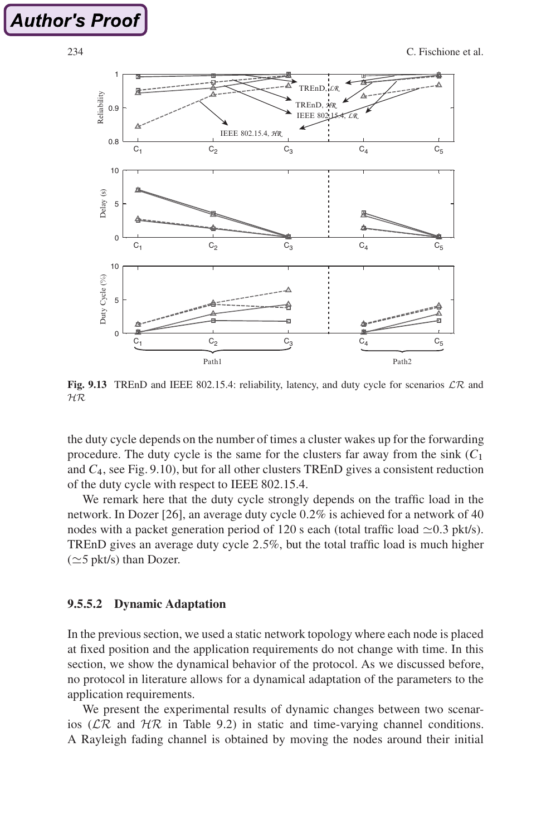

**Fig. 9.13** TREnD and IEEE 802.15.4: reliability, latency, and duty cycle for scenarios  $\mathcal{LR}$  and  $H \mathcal{R}$ 

the duty cycle depends on the number of times a cluster wakes up for the forwarding procedure. The duty cycle is the same for the clusters far away from the sink  $(C_1)$ and  $C_4$ , see Fig. 9.10), but for all other clusters TREnD gives a consistent reduction of the duty cycle with respect to IEEE 802.15.4.

We remark here that the duty cycle strongly depends on the traffic load in the network. In Dozer [26], an average duty cycle 0:2% is achieved for a network of 40 nodes with a packet generation period of 120 s each (total traffic load  $\simeq 0.3$  pkt/s). TREnD gives an average duty cycle 2:5%, but the total traffic load is much higher  $(\simeq 5$  pkt/s) than Dozer.

### **9.5.5.2 Dynamic Adaptation**

In the previous section, we used a static network topology where each node is placed at fixed position and the application requirements do not change with time. In this section, we show the dynamical behavior of the protocol. As we discussed before, no protocol in literature allows for a dynamical adaptation of the parameters to the application requirements.

We present the experimental results of dynamic changes between two scenarios ( $\mathcal{LR}$  and  $\mathcal{HR}$  in Table 9.2) in static and time-varying channel conditions. A Rayleigh fading channel is obtained by moving the nodes around their initial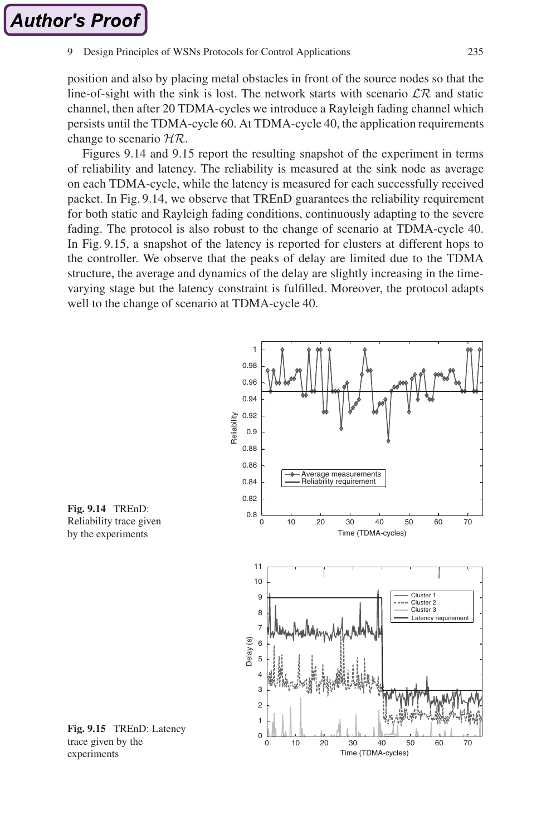position and also by placing metal obstacles in front of the source nodes so that the line-of-sight with the sink is lost. The network starts with scenario  $\mathcal{LR}$  and static channel, then after 20 TDMA-cycles we introduce a Rayleigh fading channel which persists until the TDMA-cycle 60. At TDMA-cycle 40, the application requirements change to scenario  $H\mathcal{R}$ .

Figures 9.14 and 9.15 report the resulting snapshot of the experiment in terms of reliability and latency. The reliability is measured at the sink node as average on each TDMA-cycle, while the latency is measured for each successfully received packet. In Fig. 9.14, we observe that TREnD guarantees the reliability requirement for both static and Rayleigh fading conditions, continuously adapting to the severe fading. The protocol is also robust to the change of scenario at TDMA-cycle 40. In Fig. 9.15, a snapshot of the latency is reported for clusters at different hops to the controller. We observe that the peaks of delay are limited due to the TDMA structure, the average and dynamics of the delay are slightly increasing in the timevarying stage but the latency constraint is fulfilled. Moreover, the protocol adapts well to the change of scenario at TDMA-cycle 40.



Reliability trace given by the experiments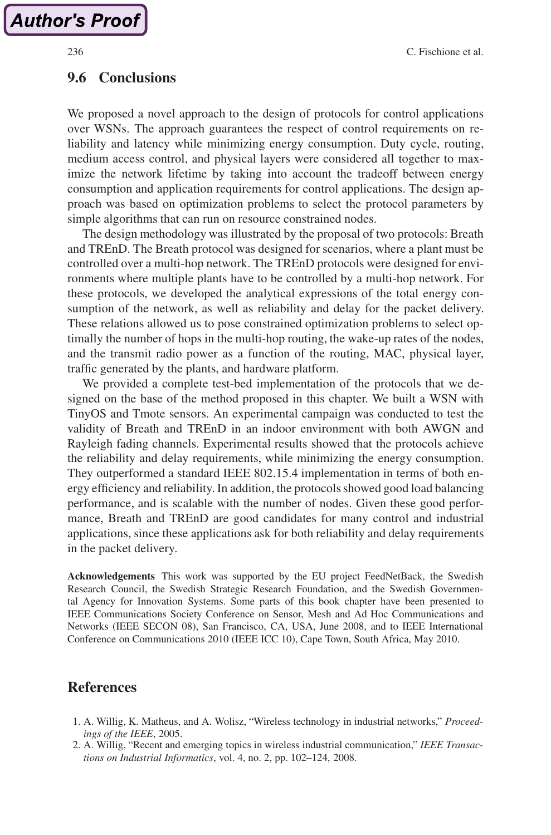

# **9.6 Conclusions**

We proposed a novel approach to the design of protocols for control applications over WSNs. The approach guarantees the respect of control requirements on reliability and latency while minimizing energy consumption. Duty cycle, routing, medium access control, and physical layers were considered all together to maximize the network lifetime by taking into account the tradeoff between energy consumption and application requirements for control applications. The design approach was based on optimization problems to select the protocol parameters by simple algorithms that can run on resource constrained nodes.

The design methodology was illustrated by the proposal of two protocols: Breath and TREnD. The Breath protocol was designed for scenarios, where a plant must be controlled over a multi-hop network. The TREnD protocols were designed for environments where multiple plants have to be controlled by a multi-hop network. For these protocols, we developed the analytical expressions of the total energy consumption of the network, as well as reliability and delay for the packet delivery. These relations allowed us to pose constrained optimization problems to select optimally the number of hops in the multi-hop routing, the wake-up rates of the nodes, and the transmit radio power as a function of the routing, MAC, physical layer, traffic generated by the plants, and hardware platform.

We provided a complete test-bed implementation of the protocols that we designed on the base of the method proposed in this chapter. We built a WSN with TinyOS and Tmote sensors. An experimental campaign was conducted to test the validity of Breath and TREnD in an indoor environment with both AWGN and Rayleigh fading channels. Experimental results showed that the protocols achieve the reliability and delay requirements, while minimizing the energy consumption. They outperformed a standard IEEE 802.15.4 implementation in terms of both energy efficiency and reliability. In addition, the protocols showed good load balancing performance, and is scalable with the number of nodes. Given these good performance, Breath and TREnD are good candidates for many control and industrial applications, since these applications ask for both reliability and delay requirements in the packet delivery.

**Acknowledgements** This work was supported by the EU project FeedNetBack, the Swedish Research Council, the Swedish Strategic Research Foundation, and the Swedish Governmental Agency for Innovation Systems. Some parts of this book chapter have been presented to IEEE Communications Society Conference on Sensor, Mesh and Ad Hoc Communications and Networks (IEEE SECON 08), San Francisco, CA, USA, June 2008, and to IEEE International Conference on Communications 2010 (IEEE ICC 10), Cape Town, South Africa, May 2010.

# **References**

- 1. A. Willig, K. Matheus, and A. Wolisz, "Wireless technology in industrial networks," *Proceedings of the IEEE*, 2005.
- 2. A. Willig, "Recent and emerging topics in wireless industrial communication," *IEEE Transactions on Industrial Informatics*, vol. 4, no. 2, pp. 102–124, 2008.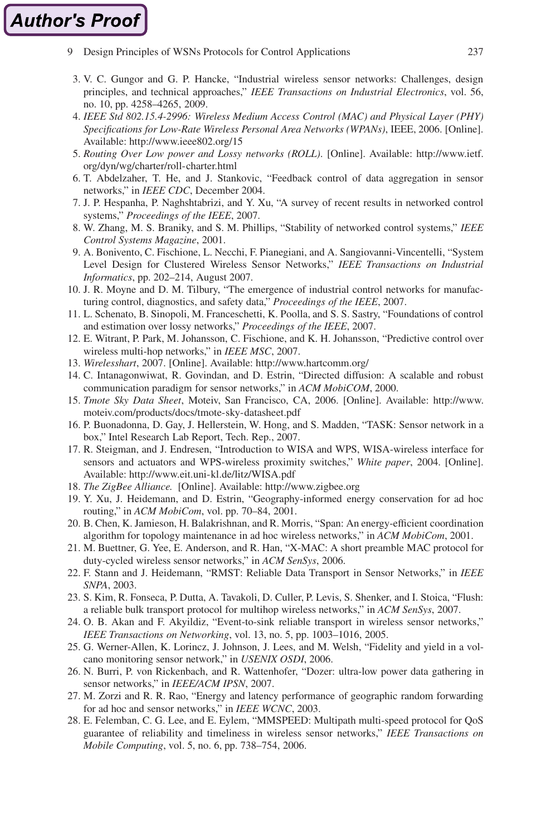# **Author's Proof**

- 9 Design Principles of WSNs Protocols for Control Applications 237
	- 3. V. C. Gungor and G. P. Hancke, "Industrial wireless sensor networks: Challenges, design principles, and technical approaches," *IEEE Transactions on Industrial Electronics*, vol. 56, no. 10, pp. 4258–4265, 2009.
	- 4. *IEEE Std 802.15.4-2996: Wireless Medium Access Control (MAC) and Physical Layer (PHY) Specifications for Low-Rate Wireless Personal Area Networks (WPANs)*, IEEE, 2006. [Online]. Available: http://www.ieee802.org/15
	- 5. *Routing Over Low power and Lossy networks (ROLL)*. [Online]. Available: http://www.ietf. org/dyn/wg/charter/roll-charter.html
	- 6. T. Abdelzaher, T. He, and J. Stankovic, "Feedback control of data aggregation in sensor networks," in *IEEE CDC*, December 2004.
	- 7. J. P. Hespanha, P. Naghshtabrizi, and Y. Xu, "A survey of recent results in networked control systems," *Proceedings of the IEEE*, 2007.
	- 8. W. Zhang, M. S. Braniky, and S. M. Phillips, "Stability of networked control systems," *IEEE Control Systems Magazine*, 2001.
	- 9. A. Bonivento, C. Fischione, L. Necchi, F. Pianegiani, and A. Sangiovanni-Vincentelli, "System Level Design for Clustered Wireless Sensor Networks," *IEEE Transactions on Industrial Informatics*, pp. 202–214, August 2007.
- 10. J. R. Moyne and D. M. Tilbury, "The emergence of industrial control networks for manufacturing control, diagnostics, and safety data," *Proceedings of the IEEE*, 2007.
- 11. L. Schenato, B. Sinopoli, M. Franceschetti, K. Poolla, and S. S. Sastry, "Foundations of control and estimation over lossy networks," *Proceedings of the IEEE*, 2007.
- 12. E. Witrant, P. Park, M. Johansson, C. Fischione, and K. H. Johansson, "Predictive control over wireless multi-hop networks," in *IEEE MSC*, 2007.
- 13. *Wirelesshart*, 2007. [Online]. Available: http://www.hartcomm.org/
- 14. C. Intanagonwiwat, R. Govindan, and D. Estrin, "Directed diffusion: A scalable and robust communication paradigm for sensor networks," in *ACM MobiCOM*, 2000.
- 15. *Tmote Sky Data Sheet*, Moteiv, San Francisco, CA, 2006. [Online]. Available: http://www. moteiv.com/products/docs/tmote-sky-datasheet.pdf
- 16. P. Buonadonna, D. Gay, J. Hellerstein, W. Hong, and S. Madden, "TASK: Sensor network in a box," Intel Research Lab Report, Tech. Rep., 2007.
- 17. R. Steigman, and J. Endresen, "Introduction to WISA and WPS, WISA-wireless interface for sensors and actuators and WPS-wireless proximity switches," *White paper*, 2004. [Online]. Available: http://www.eit.uni-kl.de/litz/WISA.pdf
- 18. *The ZigBee Alliance.* [Online]. Available: http://www.zigbee.org
- 19. Y. Xu, J. Heidemann, and D. Estrin, "Geography-informed energy conservation for ad hoc routing," in *ACM MobiCom*, vol. pp. 70–84, 2001.
- 20. B. Chen, K. Jamieson, H. Balakrishnan, and R. Morris, "Span: An energy-efficient coordination algorithm for topology maintenance in ad hoc wireless networks," in *ACM MobiCom*, 2001.
- 21. M. Buettner, G. Yee, E. Anderson, and R. Han, "X-MAC: A short preamble MAC protocol for duty-cycled wireless sensor networks," in *ACM SenSys*, 2006.
- 22. F. Stann and J. Heidemann, "RMST: Reliable Data Transport in Sensor Networks," in *IEEE SNPA*, 2003.
- 23. S. Kim, R. Fonseca, P. Dutta, A. Tavakoli, D. Culler, P. Levis, S. Shenker, and I. Stoica, "Flush: a reliable bulk transport protocol for multihop wireless networks," in *ACM SenSys*, 2007.
- 24. O. B. Akan and F. Akyildiz, "Event-to-sink reliable transport in wireless sensor networks," *IEEE Transactions on Networking*, vol. 13, no. 5, pp. 1003–1016, 2005.
- 25. G. Werner-Allen, K. Lorincz, J. Johnson, J. Lees, and M. Welsh, "Fidelity and yield in a volcano monitoring sensor network," in *USENIX OSDI*, 2006.
- 26. N. Burri, P. von Rickenbach, and R. Wattenhofer, "Dozer: ultra-low power data gathering in sensor networks," in *IEEE/ACM IPSN*, 2007.
- 27. M. Zorzi and R. R. Rao, "Energy and latency performance of geographic random forwarding for ad hoc and sensor networks," in *IEEE WCNC*, 2003.
- 28. E. Felemban, C. G. Lee, and E. Eylem, "MMSPEED: Multipath multi-speed protocol for QoS guarantee of reliability and timeliness in wireless sensor networks," *IEEE Transactions on Mobile Computing*, vol. 5, no. 6, pp. 738–754, 2006.